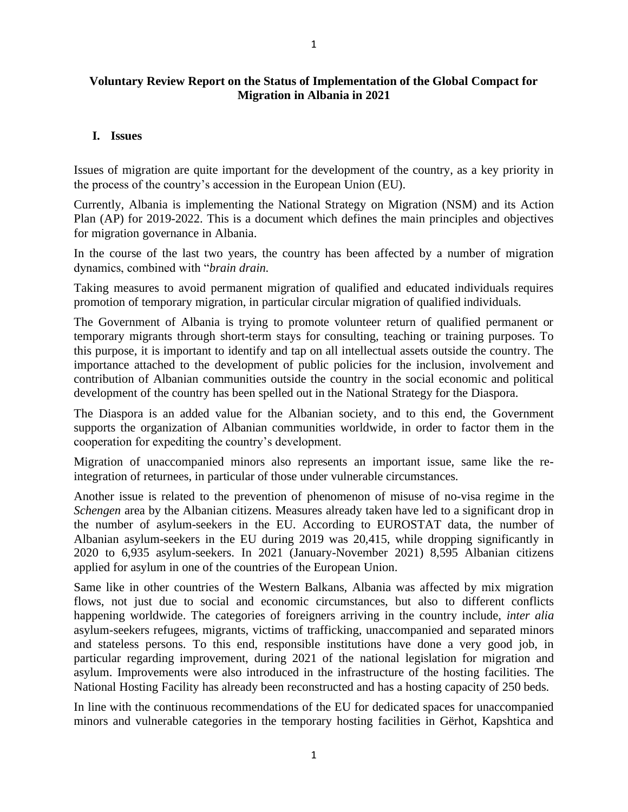## **I. Issues**

Issues of migration are quite important for the development of the country, as a key priority in the process of the country's accession in the European Union (EU).

Currently, Albania is implementing the National Strategy on Migration (NSM) and its Action Plan (AP) for 2019-2022. This is a document which defines the main principles and objectives for migration governance in Albania.

In the course of the last two years, the country has been affected by a number of migration dynamics, combined with "*brain drain*.

Taking measures to avoid permanent migration of qualified and educated individuals requires promotion of temporary migration, in particular circular migration of qualified individuals.

The Government of Albania is trying to promote volunteer return of qualified permanent or temporary migrants through short-term stays for consulting, teaching or training purposes. To this purpose, it is important to identify and tap on all intellectual assets outside the country. The importance attached to the development of public policies for the inclusion, involvement and contribution of Albanian communities outside the country in the social economic and political development of the country has been spelled out in the National Strategy for the Diaspora.

The Diaspora is an added value for the Albanian society, and to this end, the Government supports the organization of Albanian communities worldwide, in order to factor them in the cooperation for expediting the country's development.

Migration of unaccompanied minors also represents an important issue, same like the reintegration of returnees, in particular of those under vulnerable circumstances.

Another issue is related to the prevention of phenomenon of misuse of no-visa regime in the *Schengen* area by the Albanian citizens. Measures already taken have led to a significant drop in the number of asylum-seekers in the EU. According to EUROSTAT data, the number of Albanian asylum-seekers in the EU during 2019 was 20,415, while dropping significantly in 2020 to 6,935 asylum-seekers. In 2021 (January-November 2021) 8,595 Albanian citizens applied for asylum in one of the countries of the European Union.

Same like in other countries of the Western Balkans, Albania was affected by mix migration flows, not just due to social and economic circumstances, but also to different conflicts happening worldwide. The categories of foreigners arriving in the country include, *inter alia* asylum-seekers refugees, migrants, victims of trafficking, unaccompanied and separated minors and stateless persons. To this end, responsible institutions have done a very good job, in particular regarding improvement, during 2021 of the national legislation for migration and asylum. Improvements were also introduced in the infrastructure of the hosting facilities. The National Hosting Facility has already been reconstructed and has a hosting capacity of 250 beds.

In line with the continuous recommendations of the EU for dedicated spaces for unaccompanied minors and vulnerable categories in the temporary hosting facilities in Gërhot, Kapshtica and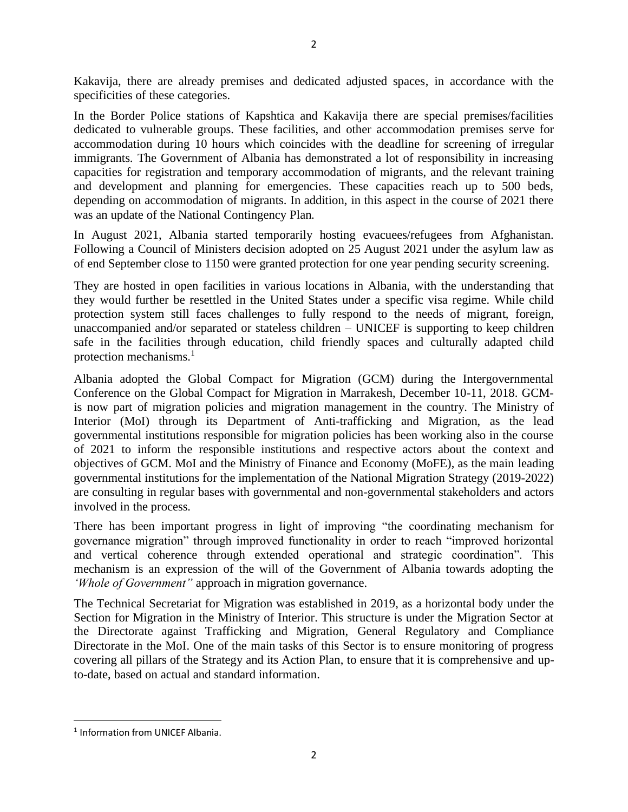Kakavija, there are already premises and dedicated adjusted spaces, in accordance with the specificities of these categories.

In the Border Police stations of Kapshtica and Kakavija there are special premises/facilities dedicated to vulnerable groups. These facilities, and other accommodation premises serve for accommodation during 10 hours which coincides with the deadline for screening of irregular immigrants. The Government of Albania has demonstrated a lot of responsibility in increasing capacities for registration and temporary accommodation of migrants, and the relevant training and development and planning for emergencies. These capacities reach up to 500 beds, depending on accommodation of migrants. In addition, in this aspect in the course of 2021 there was an update of the National Contingency Plan.

In August 2021, Albania started temporarily hosting evacuees/refugees from Afghanistan. Following a Council of Ministers decision adopted on 25 August 2021 under the asylum law as of end September close to 1150 were granted protection for one year pending security screening.

They are hosted in open facilities in various locations in Albania, with the understanding that they would further be resettled in the United States under a specific visa regime. While child protection system still faces challenges to fully respond to the needs of migrant, foreign, unaccompanied and/or separated or stateless children – UNICEF is supporting to keep children safe in the facilities through education, child friendly spaces and culturally adapted child protection mechanisms. $<sup>1</sup>$ </sup>

Albania adopted the Global Compact for Migration (GCM) during the Intergovernmental Conference on the Global Compact for Migration in Marrakesh, December 10-11, 2018. GCMis now part of migration policies and migration management in the country. The Ministry of Interior (MoI) through its Department of Anti-trafficking and Migration, as the lead governmental institutions responsible for migration policies has been working also in the course of 2021 to inform the responsible institutions and respective actors about the context and objectives of GCM. MoI and the Ministry of Finance and Economy (MoFE), as the main leading governmental institutions for the implementation of the National Migration Strategy (2019-2022) are consulting in regular bases with governmental and non-governmental stakeholders and actors involved in the process.

There has been important progress in light of improving "the coordinating mechanism for governance migration" through improved functionality in order to reach "improved horizontal and vertical coherence through extended operational and strategic coordination". This mechanism is an expression of the will of the Government of Albania towards adopting the *'Whole of Government"* approach in migration governance.

The Technical Secretariat for Migration was established in 2019, as a horizontal body under the Section for Migration in the Ministry of Interior. This structure is under the Migration Sector at the Directorate against Trafficking and Migration, General Regulatory and Compliance Directorate in the MoI. One of the main tasks of this Sector is to ensure monitoring of progress covering all pillars of the Strategy and its Action Plan, to ensure that it is comprehensive and upto-date, based on actual and standard information.

<sup>&</sup>lt;sup>1</sup> Information from UNICEF Albania.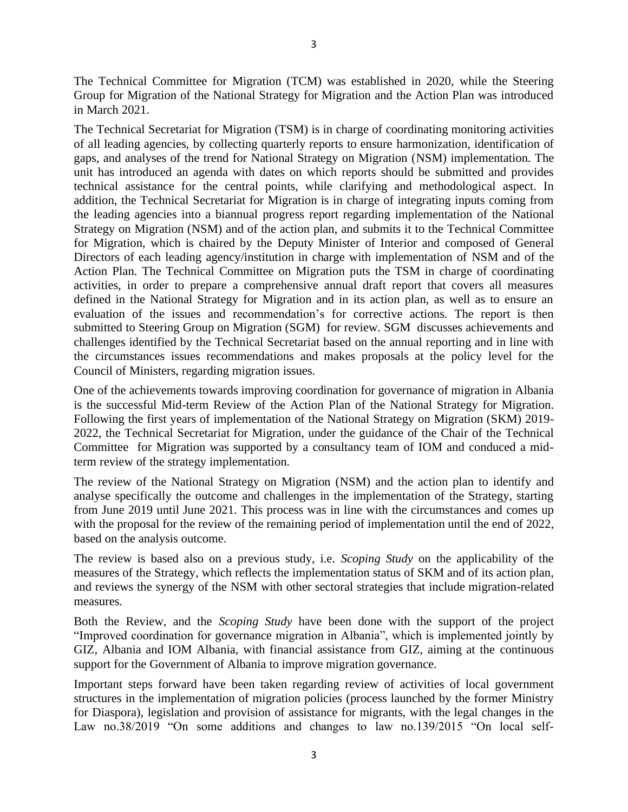The Technical Committee for Migration (TCM) was established in 2020, while the Steering Group for Migration of the National Strategy for Migration and the Action Plan was introduced in March 2021.

The Technical Secretariat for Migration (TSM) is in charge of coordinating monitoring activities of all leading agencies, by collecting quarterly reports to ensure harmonization, identification of gaps, and analyses of the trend for National Strategy on Migration (NSM) implementation. The unit has introduced an agenda with dates on which reports should be submitted and provides technical assistance for the central points, while clarifying and methodological aspect. In addition, the Technical Secretariat for Migration is in charge of integrating inputs coming from the leading agencies into a biannual progress report regarding implementation of the National Strategy on Migration (NSM) and of the action plan, and submits it to the Technical Committee for Migration, which is chaired by the Deputy Minister of Interior and composed of General Directors of each leading agency/institution in charge with implementation of NSM and of the Action Plan. The Technical Committee on Migration puts the TSM in charge of coordinating activities, in order to prepare a comprehensive annual draft report that covers all measures defined in the National Strategy for Migration and in its action plan, as well as to ensure an evaluation of the issues and recommendation's for corrective actions. The report is then submitted to Steering Group on Migration (SGM) for review. SGM discusses achievements and challenges identified by the Technical Secretariat based on the annual reporting and in line with the circumstances issues recommendations and makes proposals at the policy level for the Council of Ministers, regarding migration issues.

One of the achievements towards improving coordination for governance of migration in Albania is the successful Mid-term Review of the Action Plan of the National Strategy for Migration. Following the first years of implementation of the National Strategy on Migration (SKM) 2019- 2022, the Technical Secretariat for Migration, under the guidance of the Chair of the Technical Committee for Migration was supported by a consultancy team of IOM and conduced a midterm review of the strategy implementation.

The review of the National Strategy on Migration (NSM) and the action plan to identify and analyse specifically the outcome and challenges in the implementation of the Strategy, starting from June 2019 until June 2021. This process was in line with the circumstances and comes up with the proposal for the review of the remaining period of implementation until the end of 2022, based on the analysis outcome.

The review is based also on a previous study, i.e. *Scoping Study* on the applicability of the measures of the Strategy, which reflects the implementation status of SKM and of its action plan, and reviews the synergy of the NSM with other sectoral strategies that include migration-related measures.

Both the Review, and the *Scoping Study* have been done with the support of the project "Improved coordination for governance migration in Albania", which is implemented jointly by GIZ, Albania and IOM Albania, with financial assistance from GIZ, aiming at the continuous support for the Government of Albania to improve migration governance.

Important steps forward have been taken regarding review of activities of local government structures in the implementation of migration policies (process launched by the former Ministry for Diaspora), legislation and provision of assistance for migrants, with the legal changes in the Law no.38/2019 "On some additions and changes to law no.139/2015 "On local self-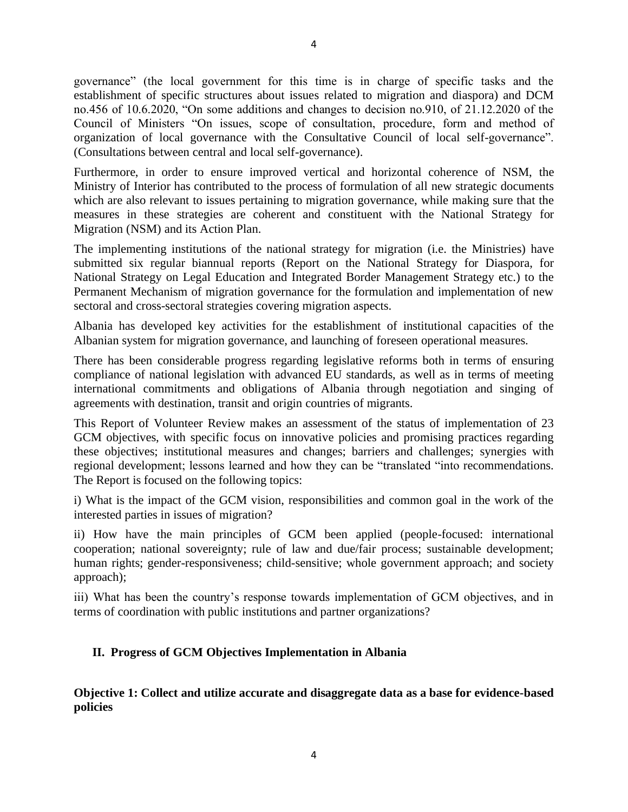governance" (the local government for this time is in charge of specific tasks and the establishment of specific structures about issues related to migration and diaspora) and DCM no.456 of 10.6.2020, "On some additions and changes to decision no.910, of 21.12.2020 of the Council of Ministers "On issues, scope of consultation, procedure, form and method of organization of local governance with the Consultative Council of local self-governance". (Consultations between central and local self-governance).

Furthermore, in order to ensure improved vertical and horizontal coherence of NSM, the Ministry of Interior has contributed to the process of formulation of all new strategic documents which are also relevant to issues pertaining to migration governance, while making sure that the measures in these strategies are coherent and constituent with the National Strategy for Migration (NSM) and its Action Plan.

The implementing institutions of the national strategy for migration (i.e. the Ministries) have submitted six regular biannual reports (Report on the National Strategy for Diaspora, for National Strategy on Legal Education and Integrated Border Management Strategy etc.) to the Permanent Mechanism of migration governance for the formulation and implementation of new sectoral and cross-sectoral strategies covering migration aspects.

Albania has developed key activities for the establishment of institutional capacities of the Albanian system for migration governance, and launching of foreseen operational measures.

There has been considerable progress regarding legislative reforms both in terms of ensuring compliance of national legislation with advanced EU standards, as well as in terms of meeting international commitments and obligations of Albania through negotiation and singing of agreements with destination, transit and origin countries of migrants.

This Report of Volunteer Review makes an assessment of the status of implementation of 23 GCM objectives, with specific focus on innovative policies and promising practices regarding these objectives; institutional measures and changes; barriers and challenges; synergies with regional development; lessons learned and how they can be "translated "into recommendations. The Report is focused on the following topics:

i) What is the impact of the GCM vision, responsibilities and common goal in the work of the interested parties in issues of migration?

ii) How have the main principles of GCM been applied (people-focused: international cooperation; national sovereignty; rule of law and due/fair process; sustainable development; human rights; gender-responsiveness; child-sensitive; whole government approach; and society approach);

iii) What has been the country's response towards implementation of GCM objectives, and in terms of coordination with public institutions and partner organizations?

## **II. Progress of GCM Objectives Implementation in Albania**

**Objective 1: Collect and utilize accurate and disaggregate data as a base for evidence-based policies**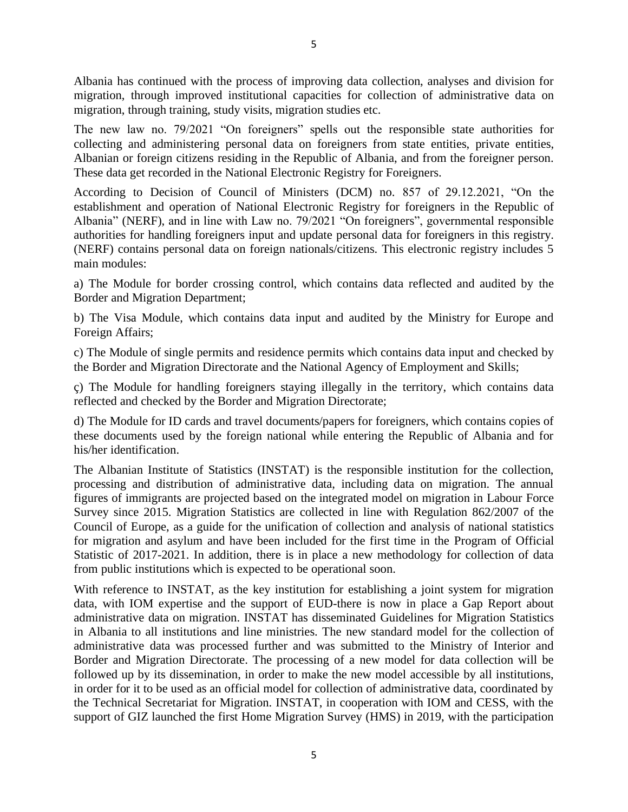Albania has continued with the process of improving data collection, analyses and division for migration, through improved institutional capacities for collection of administrative data on migration, through training, study visits, migration studies etc.

The new law no. 79/2021 "On foreigners" spells out the responsible state authorities for collecting and administering personal data on foreigners from state entities, private entities, Albanian or foreign citizens residing in the Republic of Albania, and from the foreigner person. These data get recorded in the National Electronic Registry for Foreigners.

According to Decision of Council of Ministers (DCM) no. 857 of 29.12.2021, "On the establishment and operation of National Electronic Registry for foreigners in the Republic of Albania" (NERF), and in line with Law no. 79/2021 "On foreigners", governmental responsible authorities for handling foreigners input and update personal data for foreigners in this registry. (NERF) contains personal data on foreign nationals/citizens. This electronic registry includes 5 main modules:

a) The Module for border crossing control, which contains data reflected and audited by the Border and Migration Department;

b) The Visa Module, which contains data input and audited by the Ministry for Europe and Foreign Affairs;

c) The Module of single permits and residence permits which contains data input and checked by the Border and Migration Directorate and the National Agency of Employment and Skills;

ç) The Module for handling foreigners staying illegally in the territory, which contains data reflected and checked by the Border and Migration Directorate;

d) The Module for ID cards and travel documents/papers for foreigners, which contains copies of these documents used by the foreign national while entering the Republic of Albania and for his/her identification.

The Albanian Institute of Statistics (INSTAT) is the responsible institution for the collection, processing and distribution of administrative data, including data on migration. The annual figures of immigrants are projected based on the integrated model on migration in Labour Force Survey since 2015. Migration Statistics are collected in line with Regulation 862/2007 of the Council of Europe, as a guide for the unification of collection and analysis of national statistics for migration and asylum and have been included for the first time in the Program of Official Statistic of 2017-2021. In addition, there is in place a new methodology for collection of data from public institutions which is expected to be operational soon.

With reference to INSTAT, as the key institution for establishing a joint system for migration data, with IOM expertise and the support of EUD-there is now in place a Gap Report about administrative data on migration. INSTAT has disseminated Guidelines for Migration Statistics in Albania to all institutions and line ministries. The new standard model for the collection of administrative data was processed further and was submitted to the Ministry of Interior and Border and Migration Directorate. The processing of a new model for data collection will be followed up by its dissemination, in order to make the new model accessible by all institutions, in order for it to be used as an official model for collection of administrative data, coordinated by the Technical Secretariat for Migration. INSTAT, in cooperation with IOM and CESS, with the support of GIZ launched the first Home Migration Survey (HMS) in 2019, with the participation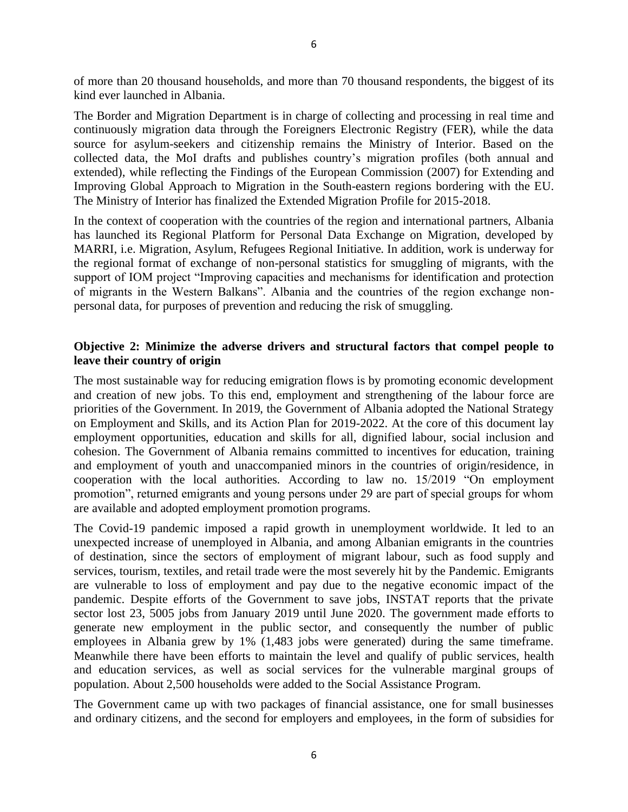of more than 20 thousand households, and more than 70 thousand respondents, the biggest of its kind ever launched in Albania.

The Border and Migration Department is in charge of collecting and processing in real time and continuously migration data through the Foreigners Electronic Registry (FER), while the data source for asylum-seekers and citizenship remains the Ministry of Interior. Based on the collected data, the MoI drafts and publishes country's migration profiles (both annual and extended), while reflecting the Findings of the European Commission (2007) for Extending and Improving Global Approach to Migration in the South-eastern regions bordering with the EU. The Ministry of Interior has finalized the Extended Migration Profile for 2015-2018.

In the context of cooperation with the countries of the region and international partners, Albania has launched its Regional Platform for Personal Data Exchange on Migration, developed by MARRI, i.e. Migration, Asylum, Refugees Regional Initiative. In addition, work is underway for the regional format of exchange of non-personal statistics for smuggling of migrants, with the support of IOM project "Improving capacities and mechanisms for identification and protection of migrants in the Western Balkans". Albania and the countries of the region exchange nonpersonal data, for purposes of prevention and reducing the risk of smuggling.

#### **Objective 2: Minimize the adverse drivers and structural factors that compel people to leave their country of origin**

The most sustainable way for reducing emigration flows is by promoting economic development and creation of new jobs. To this end, employment and strengthening of the labour force are priorities of the Government. In 2019, the Government of Albania adopted the National Strategy on Employment and Skills, and its Action Plan for 2019-2022. At the core of this document lay employment opportunities, education and skills for all, dignified labour, social inclusion and cohesion. The Government of Albania remains committed to incentives for education, training and employment of youth and unaccompanied minors in the countries of origin/residence, in cooperation with the local authorities. According to law no. 15/2019 "On employment promotion", returned emigrants and young persons under 29 are part of special groups for whom are available and adopted employment promotion programs.

The Covid-19 pandemic imposed a rapid growth in unemployment worldwide. It led to an unexpected increase of unemployed in Albania, and among Albanian emigrants in the countries of destination, since the sectors of employment of migrant labour, such as food supply and services, tourism, textiles, and retail trade were the most severely hit by the Pandemic. Emigrants are vulnerable to loss of employment and pay due to the negative economic impact of the pandemic. Despite efforts of the Government to save jobs, INSTAT reports that the private sector lost 23, 5005 jobs from January 2019 until June 2020. The government made efforts to generate new employment in the public sector, and consequently the number of public employees in Albania grew by 1% (1,483 jobs were generated) during the same timeframe. Meanwhile there have been efforts to maintain the level and qualify of public services, health and education services, as well as social services for the vulnerable marginal groups of population. About 2,500 households were added to the Social Assistance Program.

The Government came up with two packages of financial assistance, one for small businesses and ordinary citizens, and the second for employers and employees, in the form of subsidies for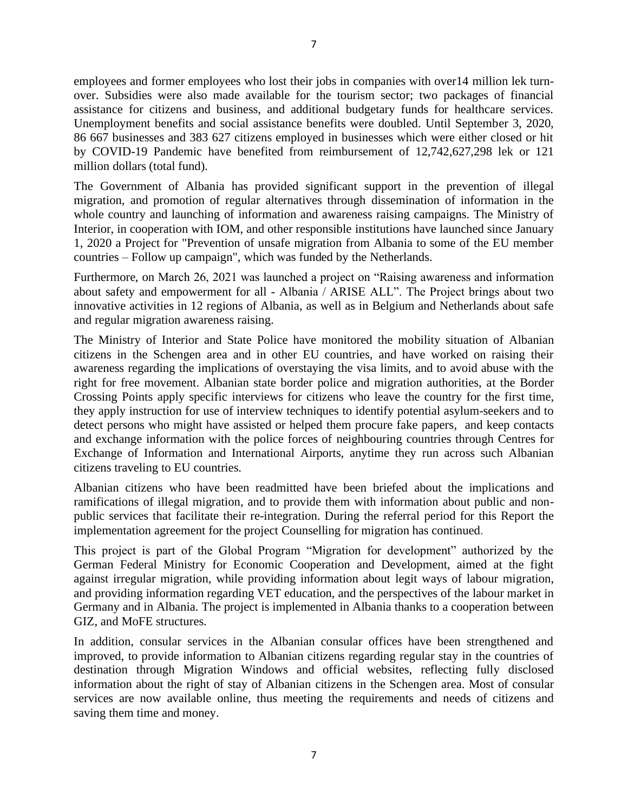employees and former employees who lost their jobs in companies with over14 million lek turnover. Subsidies were also made available for the tourism sector; two packages of financial assistance for citizens and business, and additional budgetary funds for healthcare services. Unemployment benefits and social assistance benefits were doubled. Until September 3, 2020, 86 667 businesses and 383 627 citizens employed in businesses which were either closed or hit by COVID-19 Pandemic have benefited from reimbursement of 12,742,627,298 lek or 121 million dollars (total fund).

The Government of Albania has provided significant support in the prevention of illegal migration, and promotion of regular alternatives through dissemination of information in the whole country and launching of information and awareness raising campaigns. The Ministry of Interior, in cooperation with IOM, and other responsible institutions have launched since January 1, 2020 a Project for "Prevention of unsafe migration from Albania to some of the EU member countries – Follow up campaign", which was funded by the Netherlands.

Furthermore, on March 26, 2021 was launched a project on "Raising awareness and information about safety and empowerment for all - Albania / ARISE ALL". The Project brings about two innovative activities in 12 regions of Albania, as well as in Belgium and Netherlands about safe and regular migration awareness raising.

The Ministry of Interior and State Police have monitored the mobility situation of Albanian citizens in the Schengen area and in other EU countries, and have worked on raising their awareness regarding the implications of overstaying the visa limits, and to avoid abuse with the right for free movement. Albanian state border police and migration authorities, at the Border Crossing Points apply specific interviews for citizens who leave the country for the first time, they apply instruction for use of interview techniques to identify potential asylum-seekers and to detect persons who might have assisted or helped them procure fake papers, and keep contacts and exchange information with the police forces of neighbouring countries through Centres for Exchange of Information and International Airports, anytime they run across such Albanian citizens traveling to EU countries.

Albanian citizens who have been readmitted have been briefed about the implications and ramifications of illegal migration, and to provide them with information about public and nonpublic services that facilitate their re-integration. During the referral period for this Report the implementation agreement for the project Counselling for migration has continued.

This project is part of the Global Program "Migration for development" authorized by the German Federal Ministry for Economic Cooperation and Development, aimed at the fight against irregular migration, while providing information about legit ways of labour migration, and providing information regarding VET education, and the perspectives of the labour market in Germany and in Albania. The project is implemented in Albania thanks to a cooperation between GIZ, and MoFE structures.

In addition, consular services in the Albanian consular offices have been strengthened and improved, to provide information to Albanian citizens regarding regular stay in the countries of destination through Migration Windows and official websites, reflecting fully disclosed information about the right of stay of Albanian citizens in the Schengen area. Most of consular services are now available online, thus meeting the requirements and needs of citizens and saving them time and money.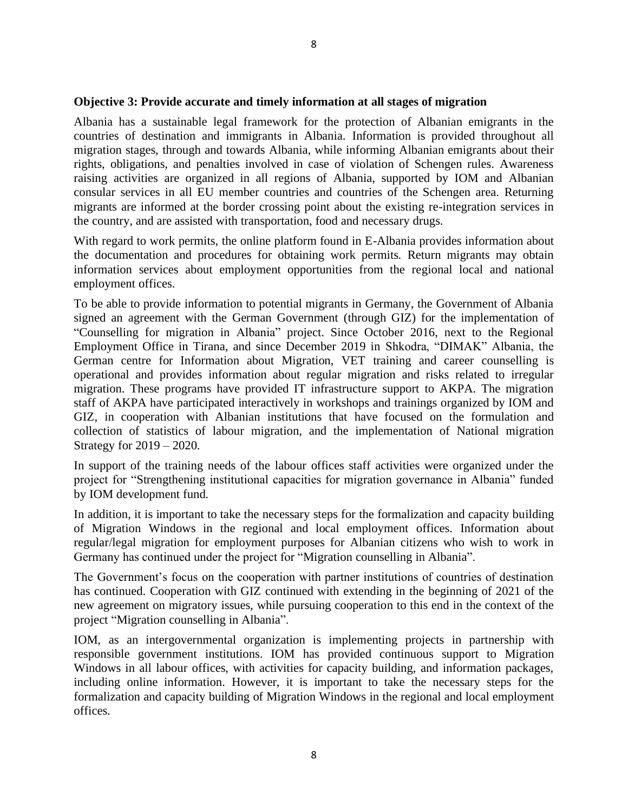#### **Objective 3: Provide accurate and timely information at all stages of migration**

Albania has a sustainable legal framework for the protection of Albanian emigrants in the countries of destination and immigrants in Albania. Information is provided throughout all migration stages, through and towards Albania, while informing Albanian emigrants about their rights, obligations, and penalties involved in case of violation of Schengen rules. Awareness raising activities are organized in all regions of Albania, supported by IOM and Albanian consular services in all EU member countries and countries of the Schengen area. Returning migrants are informed at the border crossing point about the existing re-integration services in the country, and are assisted with transportation, food and necessary drugs.

With regard to work permits, the online platform found in E-Albania provides information about the documentation and procedures for obtaining work permits. Return migrants may obtain information services about employment opportunities from the regional local and national employment offices.

To be able to provide information to potential migrants in Germany, the Government of Albania signed an agreement with the German Government (through GIZ) for the implementation of "Counselling for migration in Albania" project. Since October 2016, next to the Regional Employment Office in Tirana, and since December 2019 in Shkodra, "DIMAK" Albania, the German centre for Information about Migration, VET training and career counselling is operational and provides information about regular migration and risks related to irregular migration. These programs have provided IT infrastructure support to AKPA. The migration staff of AKPA have participated interactively in workshops and trainings organized by IOM and GIZ, in cooperation with Albanian institutions that have focused on the formulation and collection of statistics of labour migration, and the implementation of National migration Strategy for 2019 – 2020.

In support of the training needs of the labour offices staff activities were organized under the project for "Strengthening institutional capacities for migration governance in Albania" funded by IOM development fund.

In addition, it is important to take the necessary steps for the formalization and capacity building of Migration Windows in the regional and local employment offices. Information about regular/legal migration for employment purposes for Albanian citizens who wish to work in Germany has continued under the project for "Migration counselling in Albania".

The Government's focus on the cooperation with partner institutions of countries of destination has continued. Cooperation with GIZ continued with extending in the beginning of 2021 of the new agreement on migratory issues, while pursuing cooperation to this end in the context of the project "Migration counselling in Albania".

IOM, as an intergovernmental organization is implementing projects in partnership with responsible government institutions. IOM has provided continuous support to Migration Windows in all labour offices, with activities for capacity building, and information packages, including online information. However, it is important to take the necessary steps for the formalization and capacity building of Migration Windows in the regional and local employment offices.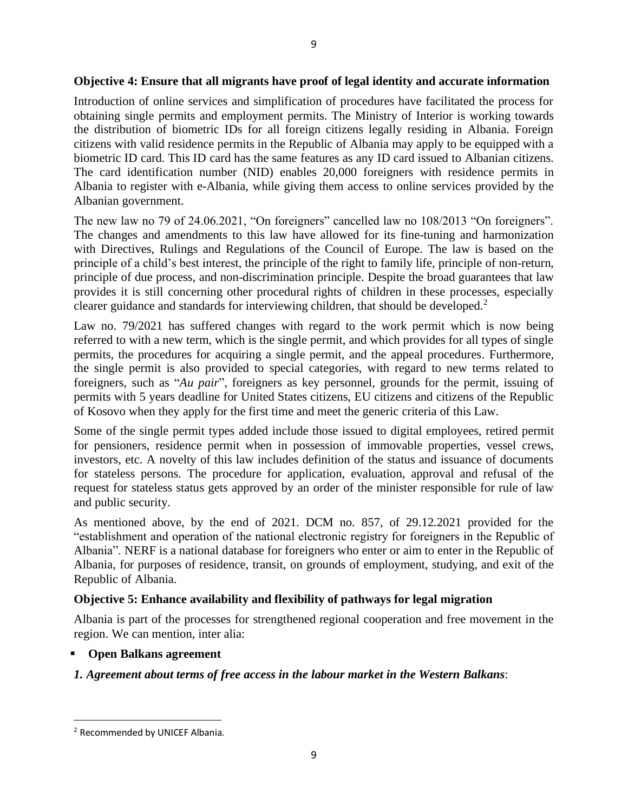#### **Objective 4: Ensure that all migrants have proof of legal identity and accurate information**

Introduction of online services and simplification of procedures have facilitated the process for obtaining single permits and employment permits. The Ministry of Interior is working towards the distribution of biometric IDs for all foreign citizens legally residing in Albania. Foreign citizens with valid residence permits in the Republic of Albania may apply to be equipped with a biometric ID card. This ID card has the same features as any ID card issued to Albanian citizens. The card identification number (NID) enables 20,000 foreigners with residence permits in Albania to register with e-Albania, while giving them access to online services provided by the Albanian government.

The new law no 79 of 24.06.2021, "On foreigners" cancelled law no 108/2013 "On foreigners". The changes and amendments to this law have allowed for its fine-tuning and harmonization with Directives, Rulings and Regulations of the Council of Europe. The law is based on the principle of a child's best interest, the principle of the right to family life, principle of non-return, principle of due process, and non-discrimination principle. Despite the broad guarantees that law provides it is still concerning other procedural rights of children in these processes, especially clearer guidance and standards for interviewing children, that should be developed.<sup>2</sup>

Law no. 79/2021 has suffered changes with regard to the work permit which is now being referred to with a new term, which is the single permit, and which provides for all types of single permits, the procedures for acquiring a single permit, and the appeal procedures. Furthermore, the single permit is also provided to special categories, with regard to new terms related to foreigners, such as "*Au pair*", foreigners as key personnel, grounds for the permit, issuing of permits with 5 years deadline for United States citizens, EU citizens and citizens of the Republic of Kosovo when they apply for the first time and meet the generic criteria of this Law.

Some of the single permit types added include those issued to digital employees, retired permit for pensioners, residence permit when in possession of immovable properties, vessel crews, investors, etc. A novelty of this law includes definition of the status and issuance of documents for stateless persons. The procedure for application, evaluation, approval and refusal of the request for stateless status gets approved by an order of the minister responsible for rule of law and public security.

As mentioned above, by the end of 2021. DCM no. 857, of 29.12.2021 provided for the "establishment and operation of the national electronic registry for foreigners in the Republic of Albania". NERF is a national database for foreigners who enter or aim to enter in the Republic of Albania, for purposes of residence, transit, on grounds of employment, studying, and exit of the Republic of Albania.

## **Objective 5: Enhance availability and flexibility of pathways for legal migration**

Albania is part of the processes for strengthened regional cooperation and free movement in the region. We can mention, inter alia:

**Open Balkans agreement** 

## *1. Agreement about terms of free access in the labour market in the Western Balkans*:

<sup>2</sup> Recommended by UNICEF Albania.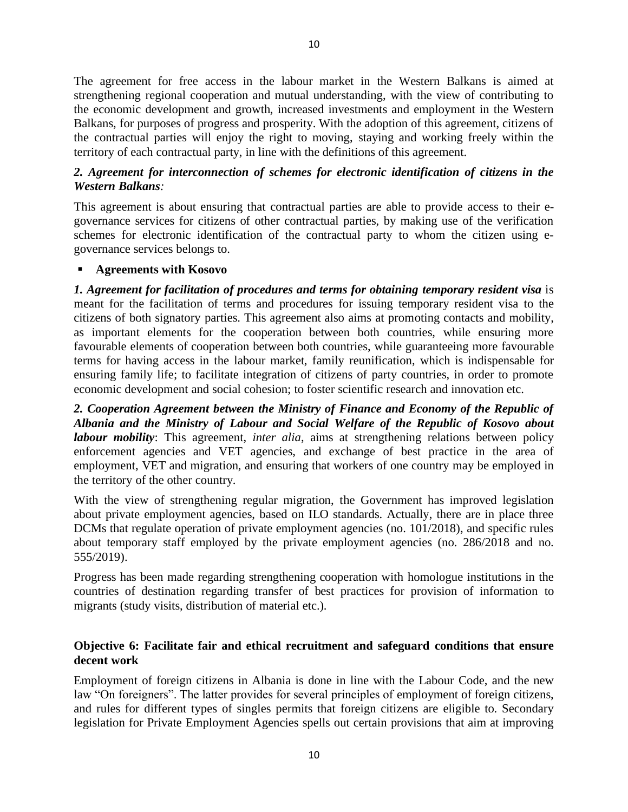The agreement for free access in the labour market in the Western Balkans is aimed at strengthening regional cooperation and mutual understanding, with the view of contributing to the economic development and growth, increased investments and employment in the Western Balkans, for purposes of progress and prosperity. With the adoption of this agreement, citizens of the contractual parties will enjoy the right to moving, staying and working freely within the territory of each contractual party, in line with the definitions of this agreement.

## *2. Agreement for interconnection of schemes for electronic identification of citizens in the Western Balkans:*

This agreement is about ensuring that contractual parties are able to provide access to their egovernance services for citizens of other contractual parties, by making use of the verification schemes for electronic identification of the contractual party to whom the citizen using egovernance services belongs to.

#### ▪ **Agreements with Kosovo**

*1. Agreement for facilitation of procedures and terms for obtaining temporary resident visa* is meant for the facilitation of terms and procedures for issuing temporary resident visa to the citizens of both signatory parties. This agreement also aims at promoting contacts and mobility, as important elements for the cooperation between both countries, while ensuring more favourable elements of cooperation between both countries, while guaranteeing more favourable terms for having access in the labour market, family reunification, which is indispensable for ensuring family life; to facilitate integration of citizens of party countries, in order to promote economic development and social cohesion; to foster scientific research and innovation etc.

*2. Cooperation Agreement between the Ministry of Finance and Economy of the Republic of Albania and the Ministry of Labour and Social Welfare of the Republic of Kosovo about labour mobility*: This agreement, *inter alia*, aims at strengthening relations between policy enforcement agencies and VET agencies, and exchange of best practice in the area of employment, VET and migration, and ensuring that workers of one country may be employed in the territory of the other country.

With the view of strengthening regular migration, the Government has improved legislation about private employment agencies, based on ILO standards. Actually, there are in place three DCMs that regulate operation of private employment agencies (no. 101/2018), and specific rules about temporary staff employed by the private employment agencies (no. 286/2018 and no. 555/2019).

Progress has been made regarding strengthening cooperation with homologue institutions in the countries of destination regarding transfer of best practices for provision of information to migrants (study visits, distribution of material etc.).

#### **Objective 6: Facilitate fair and ethical recruitment and safeguard conditions that ensure decent work**

Employment of foreign citizens in Albania is done in line with the Labour Code, and the new law "On foreigners". The latter provides for several principles of employment of foreign citizens, and rules for different types of singles permits that foreign citizens are eligible to. Secondary legislation for Private Employment Agencies spells out certain provisions that aim at improving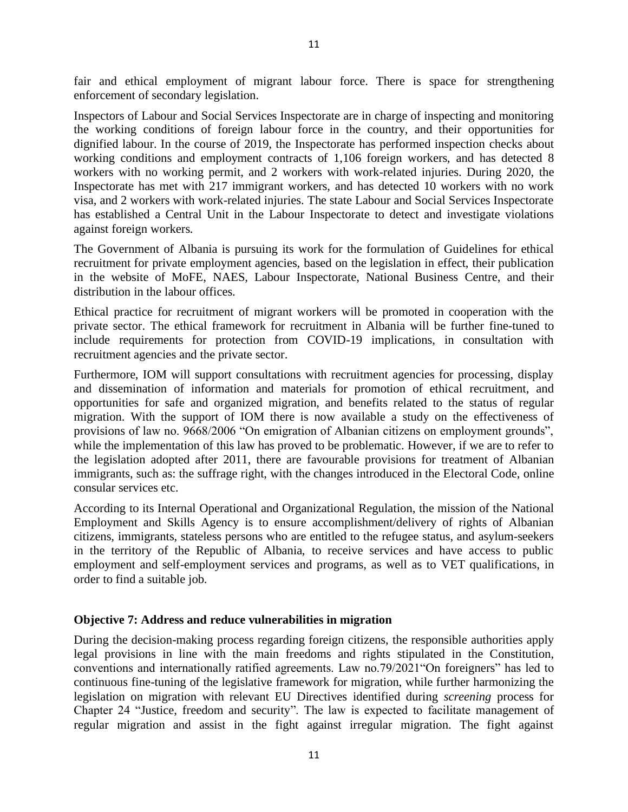fair and ethical employment of migrant labour force. There is space for strengthening enforcement of secondary legislation.

Inspectors of Labour and Social Services Inspectorate are in charge of inspecting and monitoring the working conditions of foreign labour force in the country, and their opportunities for dignified labour. In the course of 2019, the Inspectorate has performed inspection checks about working conditions and employment contracts of 1,106 foreign workers, and has detected 8 workers with no working permit, and 2 workers with work-related injuries. During 2020, the Inspectorate has met with 217 immigrant workers, and has detected 10 workers with no work visa, and 2 workers with work-related injuries. The state Labour and Social Services Inspectorate has established a Central Unit in the Labour Inspectorate to detect and investigate violations against foreign workers.

The Government of Albania is pursuing its work for the formulation of Guidelines for ethical recruitment for private employment agencies, based on the legislation in effect, their publication in the website of MoFE, NAES, Labour Inspectorate, National Business Centre, and their distribution in the labour offices.

Ethical practice for recruitment of migrant workers will be promoted in cooperation with the private sector. The ethical framework for recruitment in Albania will be further fine-tuned to include requirements for protection from COVID-19 implications, in consultation with recruitment agencies and the private sector.

Furthermore, IOM will support consultations with recruitment agencies for processing, display and dissemination of information and materials for promotion of ethical recruitment, and opportunities for safe and organized migration, and benefits related to the status of regular migration. With the support of IOM there is now available a study on the effectiveness of provisions of law no. 9668/2006 "On emigration of Albanian citizens on employment grounds", while the implementation of this law has proved to be problematic. However, if we are to refer to the legislation adopted after 2011, there are favourable provisions for treatment of Albanian immigrants, such as: the suffrage right, with the changes introduced in the Electoral Code, online consular services etc.

According to its Internal Operational and Organizational Regulation, the mission of the National Employment and Skills Agency is to ensure accomplishment/delivery of rights of Albanian citizens, immigrants, stateless persons who are entitled to the refugee status, and asylum-seekers in the territory of the Republic of Albania, to receive services and have access to public employment and self-employment services and programs, as well as to VET qualifications, in order to find a suitable job.

#### **Objective 7: Address and reduce vulnerabilities in migration**

During the decision-making process regarding foreign citizens, the responsible authorities apply legal provisions in line with the main freedoms and rights stipulated in the Constitution, conventions and internationally ratified agreements. Law no.79/2021"On foreigners" has led to continuous fine-tuning of the legislative framework for migration, while further harmonizing the legislation on migration with relevant EU Directives identified during *screening* process for Chapter 24 "Justice, freedom and security". The law is expected to facilitate management of regular migration and assist in the fight against irregular migration. The fight against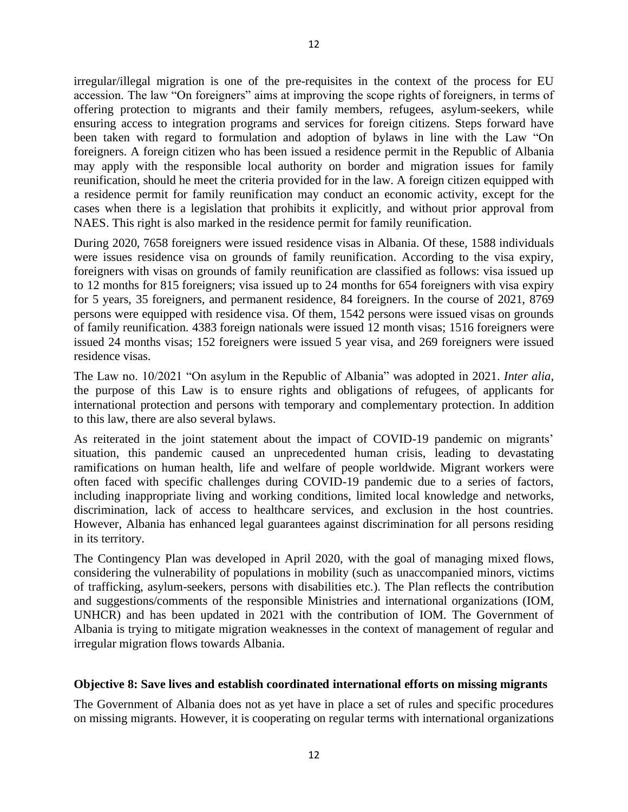irregular/illegal migration is one of the pre-requisites in the context of the process for EU accession. The law "On foreigners" aims at improving the scope rights of foreigners, in terms of offering protection to migrants and their family members, refugees, asylum-seekers, while ensuring access to integration programs and services for foreign citizens. Steps forward have been taken with regard to formulation and adoption of bylaws in line with the Law "On foreigners. A foreign citizen who has been issued a residence permit in the Republic of Albania may apply with the responsible local authority on border and migration issues for family reunification, should he meet the criteria provided for in the law. A foreign citizen equipped with a residence permit for family reunification may conduct an economic activity, except for the cases when there is a legislation that prohibits it explicitly, and without prior approval from NAES. This right is also marked in the residence permit for family reunification.

During 2020, 7658 foreigners were issued residence visas in Albania. Of these, 1588 individuals were issues residence visa on grounds of family reunification. According to the visa expiry, foreigners with visas on grounds of family reunification are classified as follows: visa issued up to 12 months for 815 foreigners; visa issued up to 24 months for 654 foreigners with visa expiry for 5 years, 35 foreigners, and permanent residence, 84 foreigners. In the course of 2021, 8769 persons were equipped with residence visa. Of them, 1542 persons were issued visas on grounds of family reunification. 4383 foreign nationals were issued 12 month visas; 1516 foreigners were issued 24 months visas; 152 foreigners were issued 5 year visa, and 269 foreigners were issued residence visas.

The Law no. 10/2021 "On asylum in the Republic of Albania" was adopted in 2021. *Inter alia*, the purpose of this Law is to ensure rights and obligations of refugees, of applicants for international protection and persons with temporary and complementary protection. In addition to this law, there are also several bylaws.

As reiterated in the joint statement about the impact of COVID-19 pandemic on migrants' situation, this pandemic caused an unprecedented human crisis, leading to devastating ramifications on human health, life and welfare of people worldwide. Migrant workers were often faced with specific challenges during COVID-19 pandemic due to a series of factors, including inappropriate living and working conditions, limited local knowledge and networks, discrimination, lack of access to healthcare services, and exclusion in the host countries. However, Albania has enhanced legal guarantees against discrimination for all persons residing in its territory.

The Contingency Plan was developed in April 2020, with the goal of managing mixed flows, considering the vulnerability of populations in mobility (such as unaccompanied minors, victims of trafficking, asylum-seekers, persons with disabilities etc.). The Plan reflects the contribution and suggestions/comments of the responsible Ministries and international organizations (IOM, UNHCR) and has been updated in 2021 with the contribution of IOM. The Government of Albania is trying to mitigate migration weaknesses in the context of management of regular and irregular migration flows towards Albania.

#### **Objective 8: Save lives and establish coordinated international efforts on missing migrants**

The Government of Albania does not as yet have in place a set of rules and specific procedures on missing migrants. However, it is cooperating on regular terms with international organizations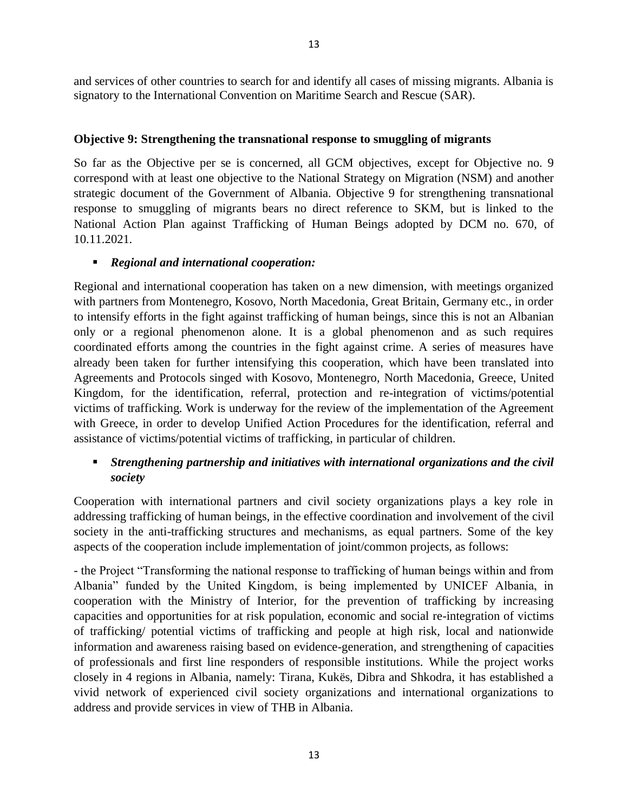and services of other countries to search for and identify all cases of missing migrants. Albania is signatory to the International Convention on Maritime Search and Rescue (SAR).

#### **Objective 9: Strengthening the transnational response to smuggling of migrants**

So far as the Objective per se is concerned, all GCM objectives, except for Objective no. 9 correspond with at least one objective to the National Strategy on Migration (NSM) and another strategic document of the Government of Albania. Objective 9 for strengthening transnational response to smuggling of migrants bears no direct reference to SKM, but is linked to the National Action Plan against Trafficking of Human Beings adopted by DCM no. 670, of 10.11.2021.

#### ▪ *Regional and international cooperation:*

Regional and international cooperation has taken on a new dimension, with meetings organized with partners from Montenegro, Kosovo, North Macedonia, Great Britain, Germany etc., in order to intensify efforts in the fight against trafficking of human beings, since this is not an Albanian only or a regional phenomenon alone. It is a global phenomenon and as such requires coordinated efforts among the countries in the fight against crime. A series of measures have already been taken for further intensifying this cooperation, which have been translated into Agreements and Protocols singed with Kosovo, Montenegro, North Macedonia, Greece, United Kingdom, for the identification, referral, protection and re-integration of victims/potential victims of trafficking. Work is underway for the review of the implementation of the Agreement with Greece, in order to develop Unified Action Procedures for the identification, referral and assistance of victims/potential victims of trafficking, in particular of children.

#### ▪ *Strengthening partnership and initiatives with international organizations and the civil society*

Cooperation with international partners and civil society organizations plays a key role in addressing trafficking of human beings, in the effective coordination and involvement of the civil society in the anti-trafficking structures and mechanisms, as equal partners. Some of the key aspects of the cooperation include implementation of joint/common projects, as follows:

- the Project "Transforming the national response to trafficking of human beings within and from Albania" funded by the United Kingdom, is being implemented by UNICEF Albania, in cooperation with the Ministry of Interior, for the prevention of trafficking by increasing capacities and opportunities for at risk population, economic and social re-integration of victims of trafficking/ potential victims of trafficking and people at high risk, local and nationwide information and awareness raising based on evidence-generation, and strengthening of capacities of professionals and first line responders of responsible institutions. While the project works closely in 4 regions in Albania, namely: Tirana, Kukës, Dibra and Shkodra, it has established a vivid network of experienced civil society organizations and international organizations to address and provide services in view of THB in Albania.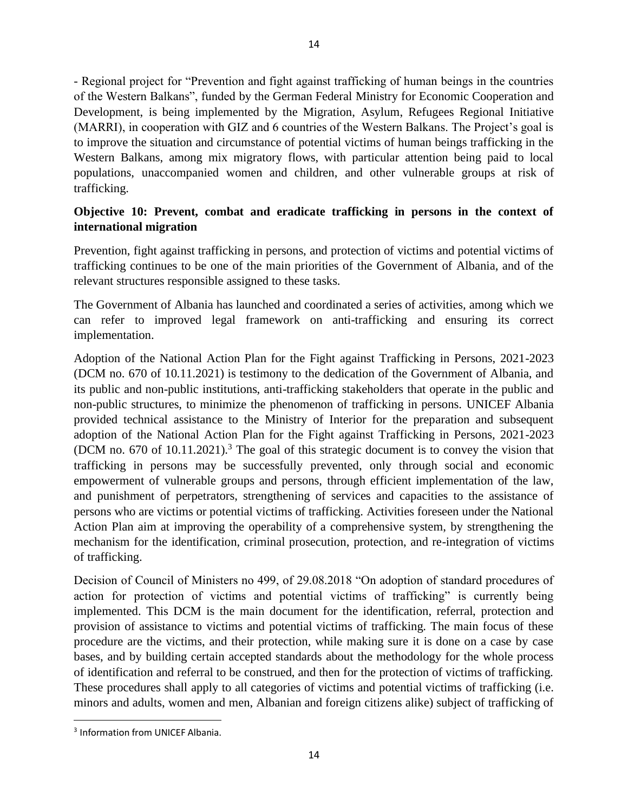- Regional project for "Prevention and fight against trafficking of human beings in the countries of the Western Balkans", funded by the German Federal Ministry for Economic Cooperation and Development, is being implemented by the Migration, Asylum, Refugees Regional Initiative (MARRI), in cooperation with GIZ and 6 countries of the Western Balkans. The Project's goal is to improve the situation and circumstance of potential victims of human beings trafficking in the Western Balkans, among mix migratory flows, with particular attention being paid to local populations, unaccompanied women and children, and other vulnerable groups at risk of trafficking.

## **Objective 10: Prevent, combat and eradicate trafficking in persons in the context of international migration**

Prevention, fight against trafficking in persons, and protection of victims and potential victims of trafficking continues to be one of the main priorities of the Government of Albania, and of the relevant structures responsible assigned to these tasks.

The Government of Albania has launched and coordinated a series of activities, among which we can refer to improved legal framework on anti-trafficking and ensuring its correct implementation.

Adoption of the National Action Plan for the Fight against Trafficking in Persons, 2021-2023 (DCM no. 670 of 10.11.2021) is testimony to the dedication of the Government of Albania, and its public and non-public institutions, anti-trafficking stakeholders that operate in the public and non-public structures, to minimize the phenomenon of trafficking in persons. UNICEF Albania provided technical assistance to the Ministry of Interior for the preparation and subsequent adoption of the National Action Plan for the Fight against Trafficking in Persons, 2021-2023 (DCM no. 670 of 10.11.2021).<sup>3</sup> The goal of this strategic document is to convey the vision that trafficking in persons may be successfully prevented, only through social and economic empowerment of vulnerable groups and persons, through efficient implementation of the law, and punishment of perpetrators, strengthening of services and capacities to the assistance of persons who are victims or potential victims of trafficking. Activities foreseen under the National Action Plan aim at improving the operability of a comprehensive system, by strengthening the mechanism for the identification, criminal prosecution, protection, and re-integration of victims of trafficking.

Decision of Council of Ministers no 499, of 29.08.2018 "On adoption of standard procedures of action for protection of victims and potential victims of trafficking" is currently being implemented. This DCM is the main document for the identification, referral, protection and provision of assistance to victims and potential victims of trafficking. The main focus of these procedure are the victims, and their protection, while making sure it is done on a case by case bases, and by building certain accepted standards about the methodology for the whole process of identification and referral to be construed, and then for the protection of victims of trafficking. These procedures shall apply to all categories of victims and potential victims of trafficking (i.e. minors and adults, women and men, Albanian and foreign citizens alike) subject of trafficking of

<sup>&</sup>lt;sup>3</sup> Information from UNICEF Albania.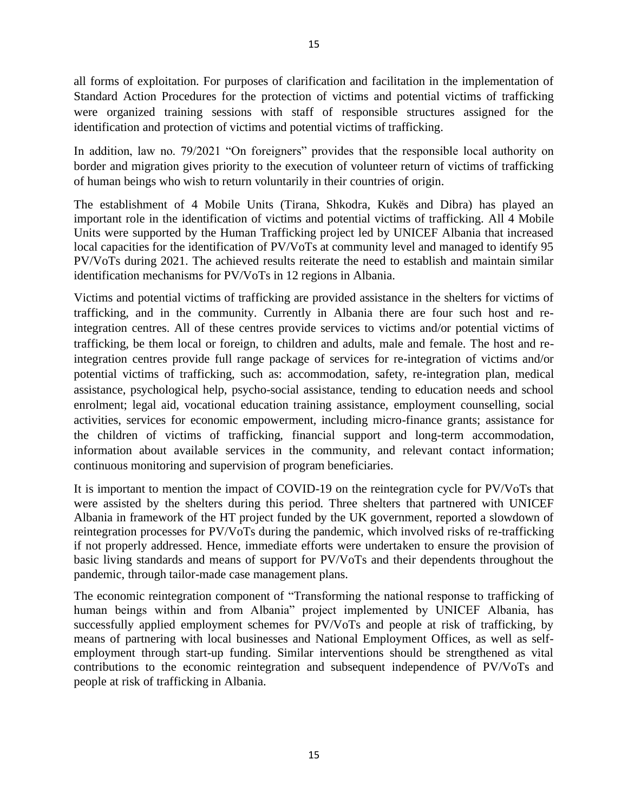all forms of exploitation. For purposes of clarification and facilitation in the implementation of Standard Action Procedures for the protection of victims and potential victims of trafficking were organized training sessions with staff of responsible structures assigned for the identification and protection of victims and potential victims of trafficking.

In addition, law no. 79/2021 "On foreigners" provides that the responsible local authority on border and migration gives priority to the execution of volunteer return of victims of trafficking of human beings who wish to return voluntarily in their countries of origin.

The establishment of 4 Mobile Units (Tirana, Shkodra, Kukës and Dibra) has played an important role in the identification of victims and potential victims of trafficking. All 4 Mobile Units were supported by the Human Trafficking project led by UNICEF Albania that increased local capacities for the identification of PV/VoTs at community level and managed to identify 95 PV/VoTs during 2021. The achieved results reiterate the need to establish and maintain similar identification mechanisms for PV/VoTs in 12 regions in Albania.

Victims and potential victims of trafficking are provided assistance in the shelters for victims of trafficking, and in the community. Currently in Albania there are four such host and reintegration centres. All of these centres provide services to victims and/or potential victims of trafficking, be them local or foreign, to children and adults, male and female. The host and reintegration centres provide full range package of services for re-integration of victims and/or potential victims of trafficking, such as: accommodation, safety, re-integration plan, medical assistance, psychological help, psycho-social assistance, tending to education needs and school enrolment; legal aid, vocational education training assistance, employment counselling, social activities, services for economic empowerment, including micro-finance grants; assistance for the children of victims of trafficking, financial support and long-term accommodation, information about available services in the community, and relevant contact information; continuous monitoring and supervision of program beneficiaries.

It is important to mention the impact of COVID-19 on the reintegration cycle for PV/VoTs that were assisted by the shelters during this period. Three shelters that partnered with UNICEF Albania in framework of the HT project funded by the UK government, reported a slowdown of reintegration processes for PV/VoTs during the pandemic, which involved risks of re-trafficking if not properly addressed. Hence, immediate efforts were undertaken to ensure the provision of basic living standards and means of support for PV/VoTs and their dependents throughout the pandemic, through tailor-made case management plans.

The economic reintegration component of "Transforming the national response to trafficking of human beings within and from Albania" project implemented by UNICEF Albania, has successfully applied employment schemes for PV/VoTs and people at risk of trafficking, by means of partnering with local businesses and National Employment Offices, as well as selfemployment through start-up funding. Similar interventions should be strengthened as vital contributions to the economic reintegration and subsequent independence of PV/VoTs and people at risk of trafficking in Albania.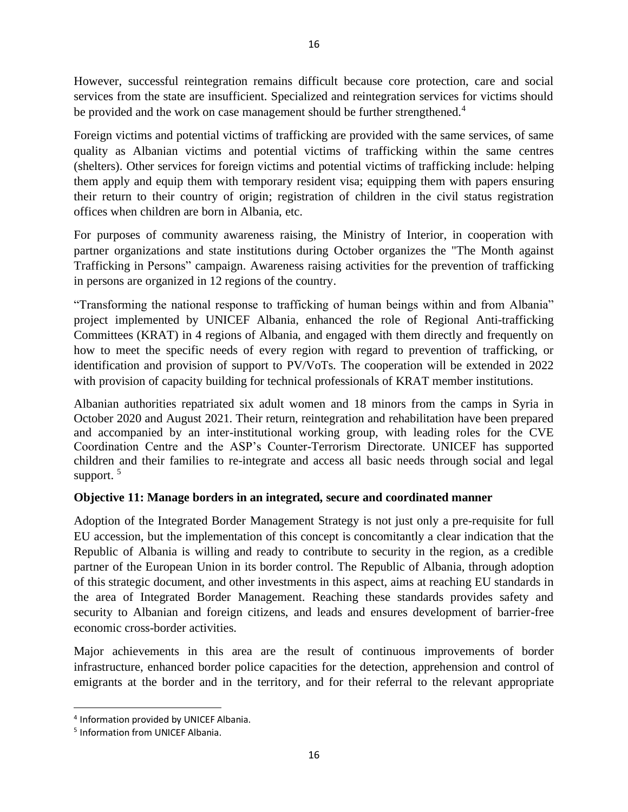However, successful reintegration remains difficult because core protection, care and social services from the state are insufficient. Specialized and reintegration services for victims should be provided and the work on case management should be further strengthened.<sup>4</sup>

Foreign victims and potential victims of trafficking are provided with the same services, of same quality as Albanian victims and potential victims of trafficking within the same centres (shelters). Other services for foreign victims and potential victims of trafficking include: helping them apply and equip them with temporary resident visa; equipping them with papers ensuring their return to their country of origin; registration of children in the civil status registration offices when children are born in Albania, etc.

For purposes of community awareness raising, the Ministry of Interior, in cooperation with partner organizations and state institutions during October organizes the "The Month against Trafficking in Persons" campaign. Awareness raising activities for the prevention of trafficking in persons are organized in 12 regions of the country.

"Transforming the national response to trafficking of human beings within and from Albania" project implemented by UNICEF Albania, enhanced the role of Regional Anti-trafficking Committees (KRAT) in 4 regions of Albania, and engaged with them directly and frequently on how to meet the specific needs of every region with regard to prevention of trafficking, or identification and provision of support to PV/VoTs. The cooperation will be extended in 2022 with provision of capacity building for technical professionals of KRAT member institutions.

Albanian authorities repatriated six adult women and 18 minors from the camps in Syria in October 2020 and August 2021. Their return, reintegration and rehabilitation have been prepared and accompanied by an inter-institutional working group, with leading roles for the CVE Coordination Centre and the ASP's Counter-Terrorism Directorate. UNICEF has supported children and their families to re-integrate and access all basic needs through social and legal support.  $5$ 

## **Objective 11: Manage borders in an integrated, secure and coordinated manner**

Adoption of the Integrated Border Management Strategy is not just only a pre-requisite for full EU accession, but the implementation of this concept is concomitantly a clear indication that the Republic of Albania is willing and ready to contribute to security in the region, as a credible partner of the European Union in its border control. The Republic of Albania, through adoption of this strategic document, and other investments in this aspect, aims at reaching EU standards in the area of Integrated Border Management. Reaching these standards provides safety and security to Albanian and foreign citizens, and leads and ensures development of barrier-free economic cross-border activities.

Major achievements in this area are the result of continuous improvements of border infrastructure, enhanced border police capacities for the detection, apprehension and control of emigrants at the border and in the territory, and for their referral to the relevant appropriate

<sup>4</sup> Information provided by UNICEF Albania.

<sup>&</sup>lt;sup>5</sup> Information from UNICEF Albania.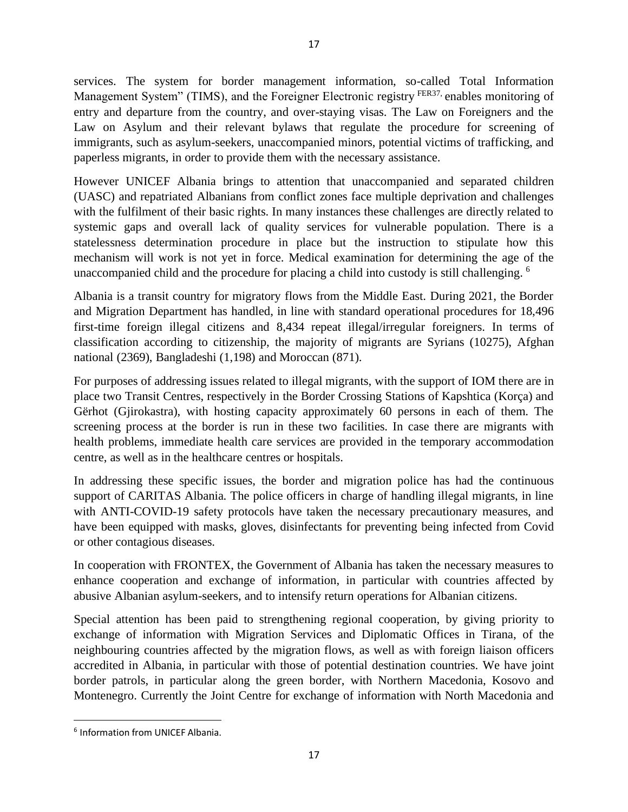services. The system for border management information, so-called Total Information Management System" (TIMS), and the Foreigner Electronic registry <sup>FER37</sup>, enables monitoring of entry and departure from the country, and over-staying visas. The Law on Foreigners and the Law on Asylum and their relevant bylaws that regulate the procedure for screening of immigrants, such as asylum-seekers, unaccompanied minors, potential victims of trafficking, and paperless migrants, in order to provide them with the necessary assistance.

However UNICEF Albania brings to attention that unaccompanied and separated children (UASC) and repatriated Albanians from conflict zones face multiple deprivation and challenges with the fulfilment of their basic rights. In many instances these challenges are directly related to systemic gaps and overall lack of quality services for vulnerable population. There is a statelessness determination procedure in place but the instruction to stipulate how this mechanism will work is not yet in force. Medical examination for determining the age of the unaccompanied child and the procedure for placing a child into custody is still challenging. <sup>6</sup>

Albania is a transit country for migratory flows from the Middle East. During 2021, the Border and Migration Department has handled, in line with standard operational procedures for 18,496 first-time foreign illegal citizens and 8,434 repeat illegal/irregular foreigners. In terms of classification according to citizenship, the majority of migrants are Syrians (10275), Afghan national (2369), Bangladeshi (1,198) and Moroccan (871).

For purposes of addressing issues related to illegal migrants, with the support of IOM there are in place two Transit Centres, respectively in the Border Crossing Stations of Kapshtica (Korça) and Gërhot (Gjirokastra), with hosting capacity approximately 60 persons in each of them. The screening process at the border is run in these two facilities. In case there are migrants with health problems, immediate health care services are provided in the temporary accommodation centre, as well as in the healthcare centres or hospitals.

In addressing these specific issues, the border and migration police has had the continuous support of CARITAS Albania. The police officers in charge of handling illegal migrants, in line with ANTI-COVID-19 safety protocols have taken the necessary precautionary measures, and have been equipped with masks, gloves, disinfectants for preventing being infected from Covid or other contagious diseases.

In cooperation with FRONTEX, the Government of Albania has taken the necessary measures to enhance cooperation and exchange of information, in particular with countries affected by abusive Albanian asylum-seekers, and to intensify return operations for Albanian citizens.

Special attention has been paid to strengthening regional cooperation, by giving priority to exchange of information with Migration Services and Diplomatic Offices in Tirana, of the neighbouring countries affected by the migration flows, as well as with foreign liaison officers accredited in Albania, in particular with those of potential destination countries. We have joint border patrols, in particular along the green border, with Northern Macedonia, Kosovo and Montenegro. Currently the Joint Centre for exchange of information with North Macedonia and

<sup>6</sup> Information from UNICEF Albania.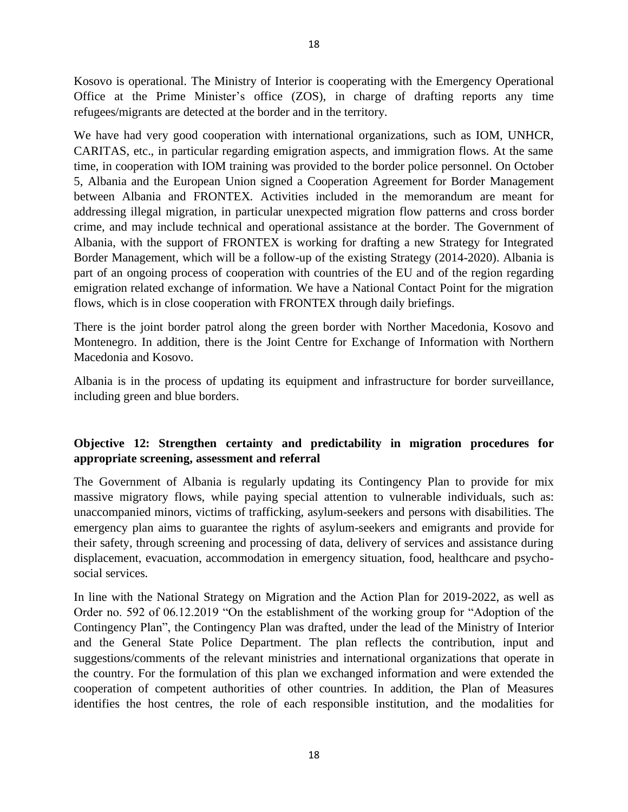Kosovo is operational. The Ministry of Interior is cooperating with the Emergency Operational Office at the Prime Minister's office (ZOS), in charge of drafting reports any time refugees/migrants are detected at the border and in the territory.

We have had very good cooperation with international organizations, such as IOM, UNHCR, CARITAS, etc., in particular regarding emigration aspects, and immigration flows. At the same time, in cooperation with IOM training was provided to the border police personnel. On October 5, Albania and the European Union signed a Cooperation Agreement for Border Management between Albania and FRONTEX. Activities included in the memorandum are meant for addressing illegal migration, in particular unexpected migration flow patterns and cross border crime, and may include technical and operational assistance at the border. The Government of Albania, with the support of FRONTEX is working for drafting a new Strategy for Integrated Border Management, which will be a follow-up of the existing Strategy (2014-2020). Albania is part of an ongoing process of cooperation with countries of the EU and of the region regarding emigration related exchange of information. We have a National Contact Point for the migration flows, which is in close cooperation with FRONTEX through daily briefings.

There is the joint border patrol along the green border with Norther Macedonia, Kosovo and Montenegro. In addition, there is the Joint Centre for Exchange of Information with Northern Macedonia and Kosovo.

Albania is in the process of updating its equipment and infrastructure for border surveillance, including green and blue borders.

## **Objective 12: Strengthen certainty and predictability in migration procedures for appropriate screening, assessment and referral**

The Government of Albania is regularly updating its Contingency Plan to provide for mix massive migratory flows, while paying special attention to vulnerable individuals, such as: unaccompanied minors, victims of trafficking, asylum-seekers and persons with disabilities. The emergency plan aims to guarantee the rights of asylum-seekers and emigrants and provide for their safety, through screening and processing of data, delivery of services and assistance during displacement, evacuation, accommodation in emergency situation, food, healthcare and psychosocial services.

In line with the National Strategy on Migration and the Action Plan for 2019-2022, as well as Order no. 592 of 06.12.2019 "On the establishment of the working group for "Adoption of the Contingency Plan", the Contingency Plan was drafted, under the lead of the Ministry of Interior and the General State Police Department. The plan reflects the contribution, input and suggestions/comments of the relevant ministries and international organizations that operate in the country. For the formulation of this plan we exchanged information and were extended the cooperation of competent authorities of other countries. In addition, the Plan of Measures identifies the host centres, the role of each responsible institution, and the modalities for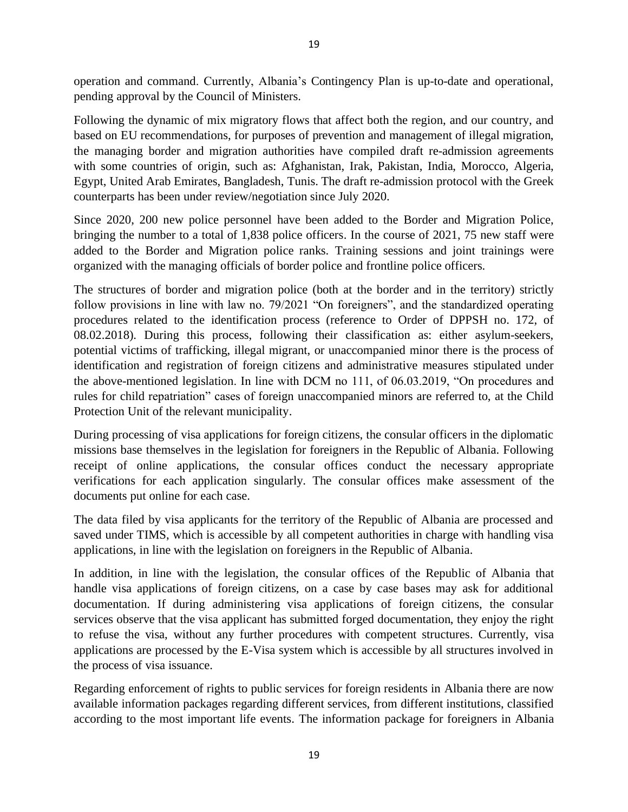operation and command. Currently, Albania's Contingency Plan is up-to-date and operational, pending approval by the Council of Ministers.

Following the dynamic of mix migratory flows that affect both the region, and our country, and based on EU recommendations, for purposes of prevention and management of illegal migration, the managing border and migration authorities have compiled draft re-admission agreements with some countries of origin, such as: Afghanistan, Irak, Pakistan, India, Morocco, Algeria, Egypt, United Arab Emirates, Bangladesh, Tunis. The draft re-admission protocol with the Greek counterparts has been under review/negotiation since July 2020.

Since 2020, 200 new police personnel have been added to the Border and Migration Police, bringing the number to a total of 1,838 police officers. In the course of 2021, 75 new staff were added to the Border and Migration police ranks. Training sessions and joint trainings were organized with the managing officials of border police and frontline police officers.

The structures of border and migration police (both at the border and in the territory) strictly follow provisions in line with law no. 79/2021 "On foreigners", and the standardized operating procedures related to the identification process (reference to Order of DPPSH no. 172, of 08.02.2018). During this process, following their classification as: either asylum-seekers, potential victims of trafficking, illegal migrant, or unaccompanied minor there is the process of identification and registration of foreign citizens and administrative measures stipulated under the above-mentioned legislation. In line with DCM no 111, of 06.03.2019, "On procedures and rules for child repatriation" cases of foreign unaccompanied minors are referred to, at the Child Protection Unit of the relevant municipality.

During processing of visa applications for foreign citizens, the consular officers in the diplomatic missions base themselves in the legislation for foreigners in the Republic of Albania. Following receipt of online applications, the consular offices conduct the necessary appropriate verifications for each application singularly. The consular offices make assessment of the documents put online for each case.

The data filed by visa applicants for the territory of the Republic of Albania are processed and saved under TIMS, which is accessible by all competent authorities in charge with handling visa applications, in line with the legislation on foreigners in the Republic of Albania.

In addition, in line with the legislation, the consular offices of the Republic of Albania that handle visa applications of foreign citizens, on a case by case bases may ask for additional documentation. If during administering visa applications of foreign citizens, the consular services observe that the visa applicant has submitted forged documentation, they enjoy the right to refuse the visa, without any further procedures with competent structures. Currently, visa applications are processed by the E-Visa system which is accessible by all structures involved in the process of visa issuance.

Regarding enforcement of rights to public services for foreign residents in Albania there are now available information packages regarding different services, from different institutions, classified according to the most important life events. The information package for foreigners in Albania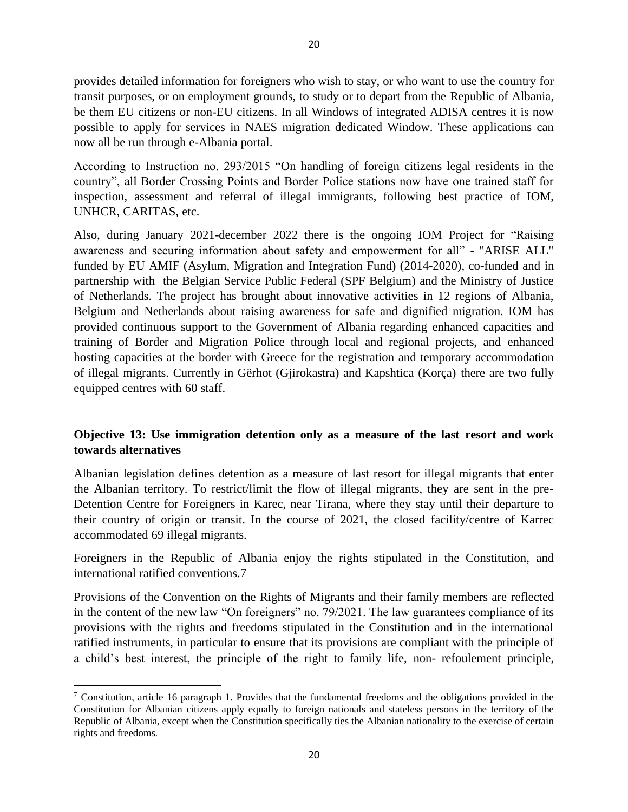provides detailed information for foreigners who wish to stay, or who want to use the country for transit purposes, or on employment grounds, to study or to depart from the Republic of Albania, be them EU citizens or non-EU citizens. In all Windows of integrated ADISA centres it is now possible to apply for services in NAES migration dedicated Window. These applications can now all be run through e-Albania portal.

According to Instruction no. 293/2015 "On handling of foreign citizens legal residents in the country", all Border Crossing Points and Border Police stations now have one trained staff for inspection, assessment and referral of illegal immigrants, following best practice of IOM, UNHCR, CARITAS, etc.

Also, during January 2021-december 2022 there is the ongoing IOM Project for "Raising awareness and securing information about safety and empowerment for all" - "ARISE ALL" funded by EU AMIF (Asylum, Migration and Integration Fund) (2014-2020), co-funded and in partnership with the Belgian Service Public Federal (SPF Belgium) and the Ministry of Justice of Netherlands. The project has brought about innovative activities in 12 regions of Albania, Belgium and Netherlands about raising awareness for safe and dignified migration. IOM has provided continuous support to the Government of Albania regarding enhanced capacities and training of Border and Migration Police through local and regional projects, and enhanced hosting capacities at the border with Greece for the registration and temporary accommodation of illegal migrants. Currently in Gërhot (Gjirokastra) and Kapshtica (Korça) there are two fully equipped centres with 60 staff.

## **Objective 13: Use immigration detention only as a measure of the last resort and work towards alternatives**

Albanian legislation defines detention as a measure of last resort for illegal migrants that enter the Albanian territory. To restrict/limit the flow of illegal migrants, they are sent in the pre-Detention Centre for Foreigners in Karec, near Tirana, where they stay until their departure to their country of origin or transit. In the course of 2021, the closed facility/centre of Karrec accommodated 69 illegal migrants.

Foreigners in the Republic of Albania enjoy the rights stipulated in the Constitution, and international ratified conventions.7

Provisions of the Convention on the Rights of Migrants and their family members are reflected in the content of the new law "On foreigners" no. 79/2021. The law guarantees compliance of its provisions with the rights and freedoms stipulated in the Constitution and in the international ratified instruments, in particular to ensure that its provisions are compliant with the principle of a child's best interest, the principle of the right to family life, non- refoulement principle,

<sup>&</sup>lt;sup>7</sup> Constitution, article 16 paragraph 1. Provides that the fundamental freedoms and the obligations provided in the Constitution for Albanian citizens apply equally to foreign nationals and stateless persons in the territory of the Republic of Albania, except when the Constitution specifically ties the Albanian nationality to the exercise of certain rights and freedoms.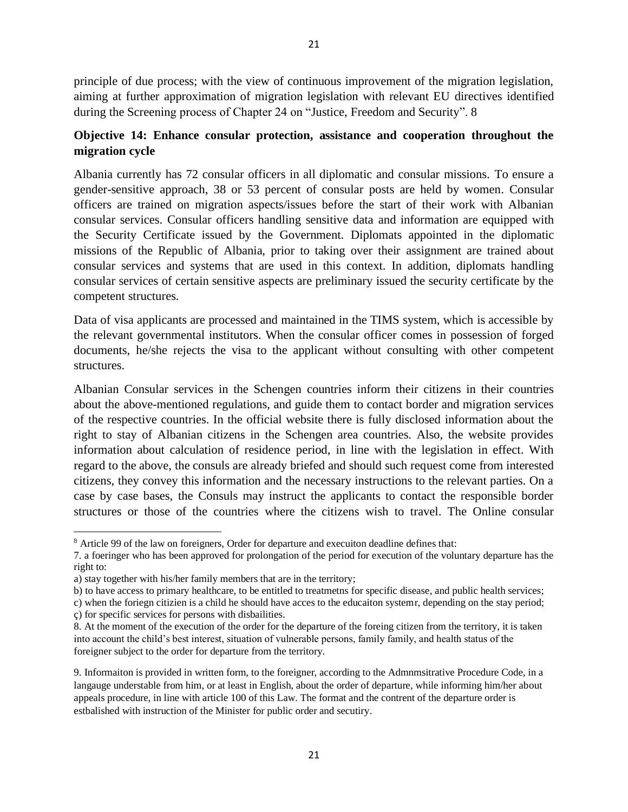principle of due process; with the view of continuous improvement of the migration legislation, aiming at further approximation of migration legislation with relevant EU directives identified during the Screening process of Chapter 24 on "Justice, Freedom and Security". 8

## **Objective 14: Enhance consular protection, assistance and cooperation throughout the migration cycle**

Albania currently has 72 consular officers in all diplomatic and consular missions. To ensure a gender-sensitive approach, 38 or 53 percent of consular posts are held by women. Consular officers are trained on migration aspects/issues before the start of their work with Albanian consular services. Consular officers handling sensitive data and information are equipped with the Security Certificate issued by the Government. Diplomats appointed in the diplomatic missions of the Republic of Albania, prior to taking over their assignment are trained about consular services and systems that are used in this context. In addition, diplomats handling consular services of certain sensitive aspects are preliminary issued the security certificate by the competent structures.

Data of visa applicants are processed and maintained in the TIMS system, which is accessible by the relevant governmental institutors. When the consular officer comes in possession of forged documents, he/she rejects the visa to the applicant without consulting with other competent structures.

Albanian Consular services in the Schengen countries inform their citizens in their countries about the above-mentioned regulations, and guide them to contact border and migration services of the respective countries. In the official website there is fully disclosed information about the right to stay of Albanian citizens in the Schengen area countries. Also, the website provides information about calculation of residence period, in line with the legislation in effect. With regard to the above, the consuls are already briefed and should such request come from interested citizens, they convey this information and the necessary instructions to the relevant parties. On a case by case bases, the Consuls may instruct the applicants to contact the responsible border structures or those of the countries where the citizens wish to travel. The Online consular

<sup>8</sup> Article 99 of the law on foreigners, Order for departure and execuiton deadline defines that:

<sup>7.</sup> a foeringer who has been approved for prolongation of the period for execution of the voluntary departure has the right to:

a) stay together with his/her family members that are in the territory;

b) to have access to primary healthcare, to be entitled to treatmetns for specific disease, and public health services; c) when the foriegn citizien is a child he should have acces to the educaiton systemr, depending on the stay period;

ç) for specific services for persons with disbailities.

<sup>8.</sup> At the moment of the execution of the order for the departure of the foreing citizen from the territory, it is taken into account the child's best interest, situation of vulnerable persons, family family, and health status of the foreigner subject to the order for departure from the territory.

<sup>9.</sup> Informaiton is provided in written form, to the foreigner, according to the Admnmsitrative Procedure Code, in a langauge understable from him, or at least in English, about the order of departure, while informing him/her about appeals procedure, in line with article 100 of this Law. The format and the contrent of the departure order is estbalished with instruction of the Minister for public order and secutiry.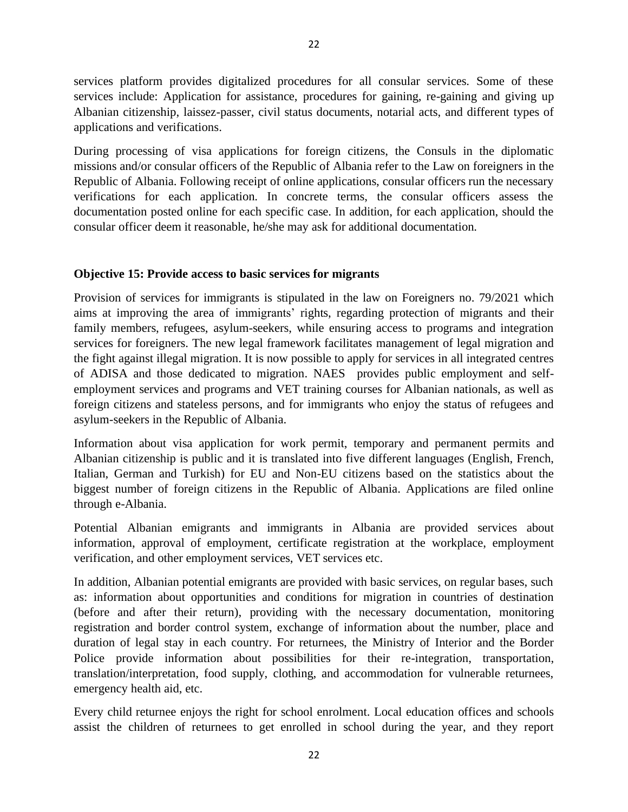services platform provides digitalized procedures for all consular services. Some of these services include: Application for assistance, procedures for gaining, re-gaining and giving up Albanian citizenship, laissez-passer, civil status documents, notarial acts, and different types of applications and verifications.

During processing of visa applications for foreign citizens, the Consuls in the diplomatic missions and/or consular officers of the Republic of Albania refer to the Law on foreigners in the Republic of Albania. Following receipt of online applications, consular officers run the necessary verifications for each application. In concrete terms, the consular officers assess the documentation posted online for each specific case. In addition, for each application, should the consular officer deem it reasonable, he/she may ask for additional documentation.

#### **Objective 15: Provide access to basic services for migrants**

Provision of services for immigrants is stipulated in the law on Foreigners no. 79/2021 which aims at improving the area of immigrants' rights, regarding protection of migrants and their family members, refugees, asylum-seekers, while ensuring access to programs and integration services for foreigners. The new legal framework facilitates management of legal migration and the fight against illegal migration. It is now possible to apply for services in all integrated centres of ADISA and those dedicated to migration. NAES provides public employment and selfemployment services and programs and VET training courses for Albanian nationals, as well as foreign citizens and stateless persons, and for immigrants who enjoy the status of refugees and asylum-seekers in the Republic of Albania.

Information about visa application for work permit, temporary and permanent permits and Albanian citizenship is public and it is translated into five different languages (English, French, Italian, German and Turkish) for EU and Non-EU citizens based on the statistics about the biggest number of foreign citizens in the Republic of Albania. Applications are filed online through e-Albania.

Potential Albanian emigrants and immigrants in Albania are provided services about information, approval of employment, certificate registration at the workplace, employment verification, and other employment services, VET services etc.

In addition, Albanian potential emigrants are provided with basic services, on regular bases, such as: information about opportunities and conditions for migration in countries of destination (before and after their return), providing with the necessary documentation, monitoring registration and border control system, exchange of information about the number, place and duration of legal stay in each country. For returnees, the Ministry of Interior and the Border Police provide information about possibilities for their re-integration, transportation, translation/interpretation, food supply, clothing, and accommodation for vulnerable returnees, emergency health aid, etc.

Every child returnee enjoys the right for school enrolment. Local education offices and schools assist the children of returnees to get enrolled in school during the year, and they report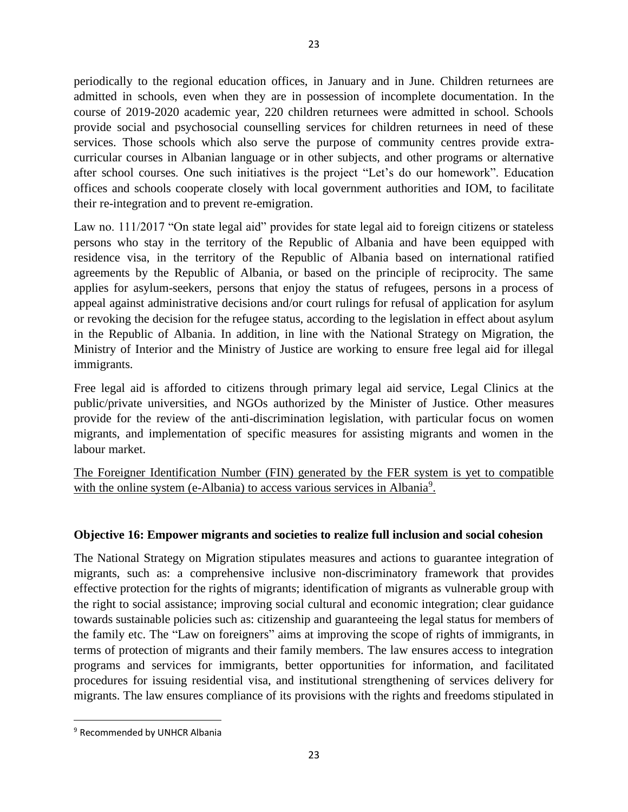periodically to the regional education offices, in January and in June. Children returnees are admitted in schools, even when they are in possession of incomplete documentation. In the course of 2019-2020 academic year, 220 children returnees were admitted in school. Schools provide social and psychosocial counselling services for children returnees in need of these services. Those schools which also serve the purpose of community centres provide extracurricular courses in Albanian language or in other subjects, and other programs or alternative after school courses. One such initiatives is the project "Let's do our homework". Education offices and schools cooperate closely with local government authorities and IOM, to facilitate their re-integration and to prevent re-emigration.

Law no. 111/2017 "On state legal aid" provides for state legal aid to foreign citizens or stateless persons who stay in the territory of the Republic of Albania and have been equipped with residence visa, in the territory of the Republic of Albania based on international ratified agreements by the Republic of Albania, or based on the principle of reciprocity. The same applies for asylum-seekers, persons that enjoy the status of refugees, persons in a process of appeal against administrative decisions and/or court rulings for refusal of application for asylum or revoking the decision for the refugee status, according to the legislation in effect about asylum in the Republic of Albania. In addition, in line with the National Strategy on Migration, the Ministry of Interior and the Ministry of Justice are working to ensure free legal aid for illegal immigrants.

Free legal aid is afforded to citizens through primary legal aid service, Legal Clinics at the public/private universities, and NGOs authorized by the Minister of Justice. Other measures provide for the review of the anti-discrimination legislation, with particular focus on women migrants, and implementation of specific measures for assisting migrants and women in the labour market.

The Foreigner Identification Number (FIN) generated by the FER system is yet to compatible with the online system (e-Albania) to access various services in Albania<sup>9</sup>.

## **Objective 16: Empower migrants and societies to realize full inclusion and social cohesion**

The National Strategy on Migration stipulates measures and actions to guarantee integration of migrants, such as: a comprehensive inclusive non-discriminatory framework that provides effective protection for the rights of migrants; identification of migrants as vulnerable group with the right to social assistance; improving social cultural and economic integration; clear guidance towards sustainable policies such as: citizenship and guaranteeing the legal status for members of the family etc. The "Law on foreigners" aims at improving the scope of rights of immigrants, in terms of protection of migrants and their family members. The law ensures access to integration programs and services for immigrants, better opportunities for information, and facilitated procedures for issuing residential visa, and institutional strengthening of services delivery for migrants. The law ensures compliance of its provisions with the rights and freedoms stipulated in

<sup>&</sup>lt;sup>9</sup> Recommended by UNHCR Albania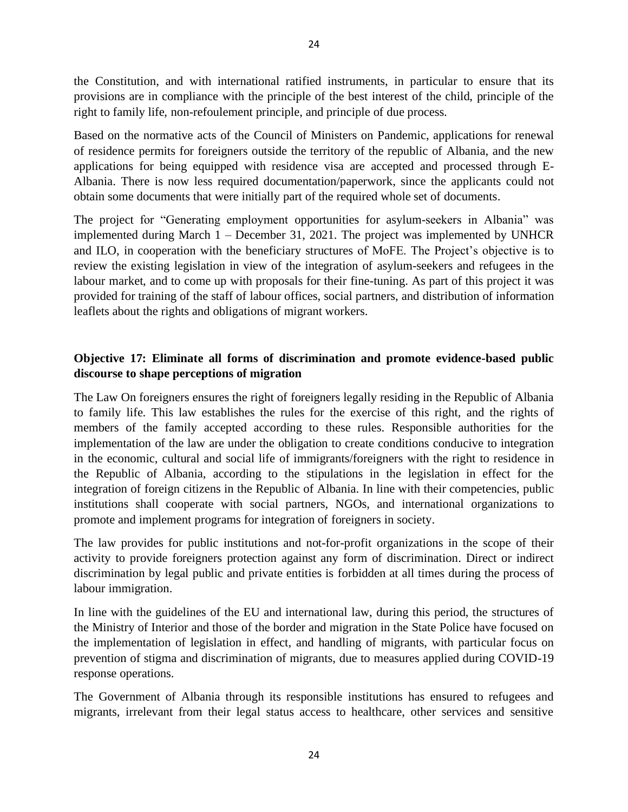the Constitution, and with international ratified instruments, in particular to ensure that its provisions are in compliance with the principle of the best interest of the child, principle of the right to family life, non-refoulement principle, and principle of due process.

Based on the normative acts of the Council of Ministers on Pandemic, applications for renewal of residence permits for foreigners outside the territory of the republic of Albania, and the new applications for being equipped with residence visa are accepted and processed through E-Albania. There is now less required documentation/paperwork, since the applicants could not obtain some documents that were initially part of the required whole set of documents.

The project for "Generating employment opportunities for asylum-seekers in Albania" was implemented during March 1 – December 31, 2021. The project was implemented by UNHCR and ILO, in cooperation with the beneficiary structures of MoFE. The Project's objective is to review the existing legislation in view of the integration of asylum-seekers and refugees in the labour market, and to come up with proposals for their fine-tuning. As part of this project it was provided for training of the staff of labour offices, social partners, and distribution of information leaflets about the rights and obligations of migrant workers.

## **Objective 17: Eliminate all forms of discrimination and promote evidence-based public discourse to shape perceptions of migration**

The Law On foreigners ensures the right of foreigners legally residing in the Republic of Albania to family life. This law establishes the rules for the exercise of this right, and the rights of members of the family accepted according to these rules. Responsible authorities for the implementation of the law are under the obligation to create conditions conducive to integration in the economic, cultural and social life of immigrants/foreigners with the right to residence in the Republic of Albania, according to the stipulations in the legislation in effect for the integration of foreign citizens in the Republic of Albania. In line with their competencies, public institutions shall cooperate with social partners, NGOs, and international organizations to promote and implement programs for integration of foreigners in society.

The law provides for public institutions and not-for-profit organizations in the scope of their activity to provide foreigners protection against any form of discrimination. Direct or indirect discrimination by legal public and private entities is forbidden at all times during the process of labour immigration.

In line with the guidelines of the EU and international law, during this period, the structures of the Ministry of Interior and those of the border and migration in the State Police have focused on the implementation of legislation in effect, and handling of migrants, with particular focus on prevention of stigma and discrimination of migrants, due to measures applied during COVID-19 response operations.

The Government of Albania through its responsible institutions has ensured to refugees and migrants, irrelevant from their legal status access to healthcare, other services and sensitive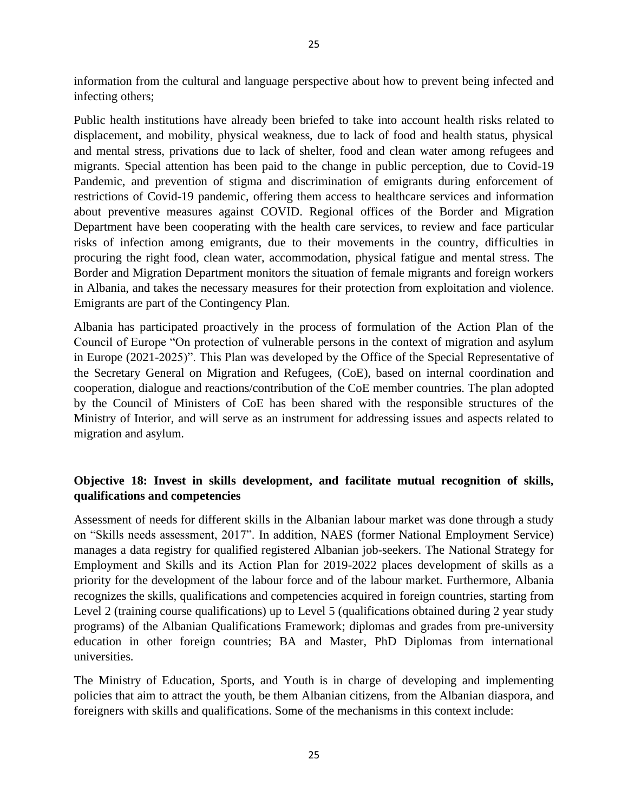information from the cultural and language perspective about how to prevent being infected and infecting others;

Public health institutions have already been briefed to take into account health risks related to displacement, and mobility, physical weakness, due to lack of food and health status, physical and mental stress, privations due to lack of shelter, food and clean water among refugees and migrants. Special attention has been paid to the change in public perception, due to Covid-19 Pandemic, and prevention of stigma and discrimination of emigrants during enforcement of restrictions of Covid-19 pandemic, offering them access to healthcare services and information about preventive measures against COVID. Regional offices of the Border and Migration Department have been cooperating with the health care services, to review and face particular risks of infection among emigrants, due to their movements in the country, difficulties in procuring the right food, clean water, accommodation, physical fatigue and mental stress. The Border and Migration Department monitors the situation of female migrants and foreign workers in Albania, and takes the necessary measures for their protection from exploitation and violence. Emigrants are part of the Contingency Plan.

Albania has participated proactively in the process of formulation of the Action Plan of the Council of Europe "On protection of vulnerable persons in the context of migration and asylum in Europe (2021-2025)". This Plan was developed by the Office of the Special Representative of the Secretary General on Migration and Refugees, (CoE), based on internal coordination and cooperation, dialogue and reactions/contribution of the CoE member countries. The plan adopted by the Council of Ministers of CoE has been shared with the responsible structures of the Ministry of Interior, and will serve as an instrument for addressing issues and aspects related to migration and asylum.

# **Objective 18: Invest in skills development, and facilitate mutual recognition of skills, qualifications and competencies**

Assessment of needs for different skills in the Albanian labour market was done through a study on "Skills needs assessment, 2017". In addition, NAES (former National Employment Service) manages a data registry for qualified registered Albanian job-seekers. The National Strategy for Employment and Skills and its Action Plan for 2019-2022 places development of skills as a priority for the development of the labour force and of the labour market. Furthermore, Albania recognizes the skills, qualifications and competencies acquired in foreign countries, starting from Level 2 (training course qualifications) up to Level 5 (qualifications obtained during 2 year study programs) of the Albanian Qualifications Framework; diplomas and grades from pre-university education in other foreign countries; BA and Master, PhD Diplomas from international universities.

The Ministry of Education, Sports, and Youth is in charge of developing and implementing policies that aim to attract the youth, be them Albanian citizens, from the Albanian diaspora, and foreigners with skills and qualifications. Some of the mechanisms in this context include: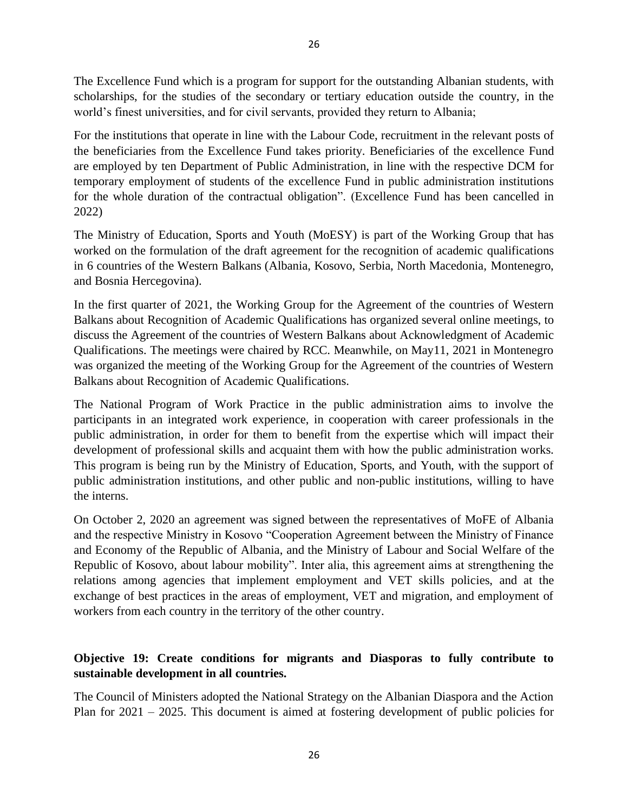The Excellence Fund which is a program for support for the outstanding Albanian students, with scholarships, for the studies of the secondary or tertiary education outside the country, in the world's finest universities, and for civil servants, provided they return to Albania;

For the institutions that operate in line with the Labour Code, recruitment in the relevant posts of the beneficiaries from the Excellence Fund takes priority. Beneficiaries of the excellence Fund are employed by ten Department of Public Administration, in line with the respective DCM for temporary employment of students of the excellence Fund in public administration institutions for the whole duration of the contractual obligation". (Excellence Fund has been cancelled in 2022)

The Ministry of Education, Sports and Youth (MoESY) is part of the Working Group that has worked on the formulation of the draft agreement for the recognition of academic qualifications in 6 countries of the Western Balkans (Albania, Kosovo, Serbia, North Macedonia, Montenegro, and Bosnia Hercegovina).

In the first quarter of 2021, the Working Group for the Agreement of the countries of Western Balkans about Recognition of Academic Qualifications has organized several online meetings, to discuss the Agreement of the countries of Western Balkans about Acknowledgment of Academic Qualifications. The meetings were chaired by RCC. Meanwhile, on May11, 2021 in Montenegro was organized the meeting of the Working Group for the Agreement of the countries of Western Balkans about Recognition of Academic Qualifications.

The National Program of Work Practice in the public administration aims to involve the participants in an integrated work experience, in cooperation with career professionals in the public administration, in order for them to benefit from the expertise which will impact their development of professional skills and acquaint them with how the public administration works. This program is being run by the Ministry of Education, Sports, and Youth, with the support of public administration institutions, and other public and non-public institutions, willing to have the interns.

On October 2, 2020 an agreement was signed between the representatives of MoFE of Albania and the respective Ministry in Kosovo "Cooperation Agreement between the Ministry of Finance and Economy of the Republic of Albania, and the Ministry of Labour and Social Welfare of the Republic of Kosovo, about labour mobility". Inter alia, this agreement aims at strengthening the relations among agencies that implement employment and VET skills policies, and at the exchange of best practices in the areas of employment, VET and migration, and employment of workers from each country in the territory of the other country.

# **Objective 19: Create conditions for migrants and Diasporas to fully contribute to sustainable development in all countries.**

The Council of Ministers adopted the National Strategy on the Albanian Diaspora and the Action Plan for 2021 – 2025. This document is aimed at fostering development of public policies for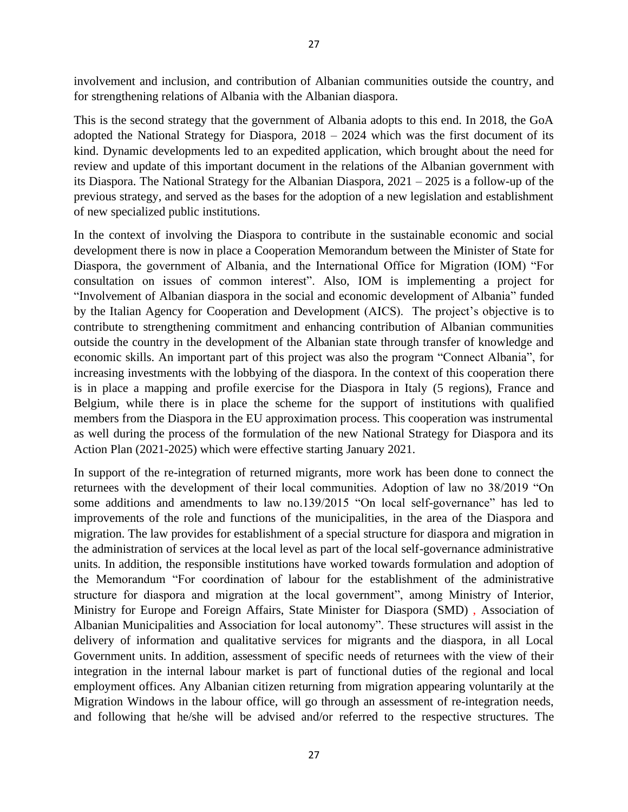involvement and inclusion, and contribution of Albanian communities outside the country, and for strengthening relations of Albania with the Albanian diaspora.

This is the second strategy that the government of Albania adopts to this end. In 2018, the GoA adopted the National Strategy for Diaspora, 2018 – 2024 which was the first document of its kind. Dynamic developments led to an expedited application, which brought about the need for review and update of this important document in the relations of the Albanian government with its Diaspora. The National Strategy for the Albanian Diaspora, 2021 – 2025 is a follow-up of the previous strategy, and served as the bases for the adoption of a new legislation and establishment of new specialized public institutions.

In the context of involving the Diaspora to contribute in the sustainable economic and social development there is now in place a Cooperation Memorandum between the Minister of State for Diaspora, the government of Albania, and the International Office for Migration (IOM) "For consultation on issues of common interest". Also, IOM is implementing a project for "Involvement of Albanian diaspora in the social and economic development of Albania" funded by the Italian Agency for Cooperation and Development (AICS). The project's objective is to contribute to strengthening commitment and enhancing contribution of Albanian communities outside the country in the development of the Albanian state through transfer of knowledge and economic skills. An important part of this project was also the program "Connect Albania", for increasing investments with the lobbying of the diaspora. In the context of this cooperation there is in place a mapping and profile exercise for the Diaspora in Italy (5 regions), France and Belgium, while there is in place the scheme for the support of institutions with qualified members from the Diaspora in the EU approximation process. This cooperation was instrumental as well during the process of the formulation of the new National Strategy for Diaspora and its Action Plan (2021-2025) which were effective starting January 2021.

In support of the re-integration of returned migrants, more work has been done to connect the returnees with the development of their local communities. Adoption of law no 38/2019 "On some additions and amendments to law no.139/2015 "On local self-governance" has led to improvements of the role and functions of the municipalities, in the area of the Diaspora and migration. The law provides for establishment of a special structure for diaspora and migration in the administration of services at the local level as part of the local self-governance administrative units. In addition, the responsible institutions have worked towards formulation and adoption of the Memorandum "For coordination of labour for the establishment of the administrative structure for diaspora and migration at the local government", among Ministry of Interior, Ministry for Europe and Foreign Affairs, State Minister for Diaspora (SMD) , Association of Albanian Municipalities and Association for local autonomy". These structures will assist in the delivery of information and qualitative services for migrants and the diaspora, in all Local Government units. In addition, assessment of specific needs of returnees with the view of their integration in the internal labour market is part of functional duties of the regional and local employment offices. Any Albanian citizen returning from migration appearing voluntarily at the Migration Windows in the labour office, will go through an assessment of re-integration needs, and following that he/she will be advised and/or referred to the respective structures. The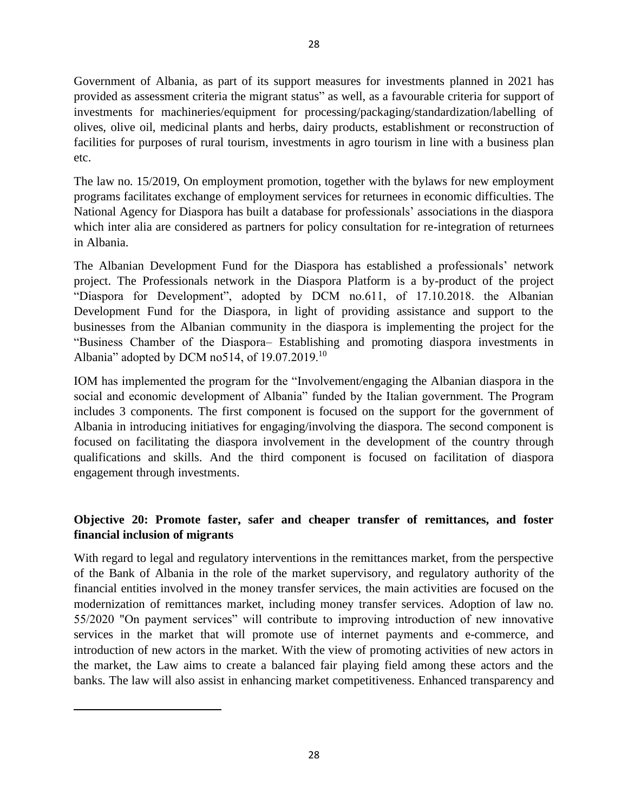Government of Albania, as part of its support measures for investments planned in 2021 has provided as assessment criteria the migrant status" as well, as a favourable criteria for support of investments for machineries/equipment for processing/packaging/standardization/labelling of olives, olive oil, medicinal plants and herbs, dairy products, establishment or reconstruction of facilities for purposes of rural tourism, investments in agro tourism in line with a business plan etc.

The law no. 15/2019, On employment promotion, together with the bylaws for new employment programs facilitates exchange of employment services for returnees in economic difficulties. The National Agency for Diaspora has built a database for professionals' associations in the diaspora which inter alia are considered as partners for policy consultation for re-integration of returnees in Albania.

The Albanian Development Fund for the Diaspora has established a professionals' network project. The Professionals network in the Diaspora Platform is a by-product of the project "Diaspora for Development", adopted by DCM no.611, of 17.10.2018. the Albanian Development Fund for the Diaspora, in light of providing assistance and support to the businesses from the Albanian community in the diaspora is implementing the project for the "Business Chamber of the Diaspora– Establishing and promoting diaspora investments in Albania" adopted by DCM no514, of 19.07.2019.<sup>10</sup>

IOM has implemented the program for the "Involvement/engaging the Albanian diaspora in the social and economic development of Albania" funded by the Italian government. The Program includes 3 components. The first component is focused on the support for the government of Albania in introducing initiatives for engaging/involving the diaspora. The second component is focused on facilitating the diaspora involvement in the development of the country through qualifications and skills. And the third component is focused on facilitation of diaspora engagement through investments.

## **Objective 20: Promote faster, safer and cheaper transfer of remittances, and foster financial inclusion of migrants**

With regard to legal and regulatory interventions in the remittances market, from the perspective of the Bank of Albania in the role of the market supervisory, and regulatory authority of the financial entities involved in the money transfer services, the main activities are focused on the modernization of remittances market, including money transfer services. Adoption of law no. 55/2020 "On payment services" will contribute to improving introduction of new innovative services in the market that will promote use of internet payments and e-commerce, and introduction of new actors in the market. With the view of promoting activities of new actors in the market, the Law aims to create a balanced fair playing field among these actors and the banks. The law will also assist in enhancing market competitiveness. Enhanced transparency and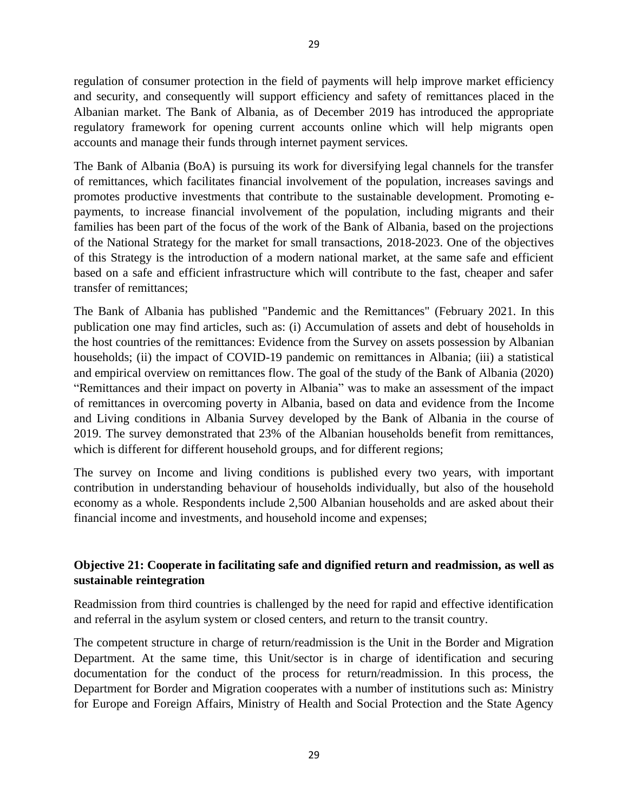regulation of consumer protection in the field of payments will help improve market efficiency and security, and consequently will support efficiency and safety of remittances placed in the Albanian market. The Bank of Albania, as of December 2019 has introduced the appropriate regulatory framework for opening current accounts online which will help migrants open accounts and manage their funds through internet payment services.

The Bank of Albania (BoA) is pursuing its work for diversifying legal channels for the transfer of remittances, which facilitates financial involvement of the population, increases savings and promotes productive investments that contribute to the sustainable development. Promoting epayments, to increase financial involvement of the population, including migrants and their families has been part of the focus of the work of the Bank of Albania, based on the projections of the National Strategy for the market for small transactions, 2018-2023. One of the objectives of this Strategy is the introduction of a modern national market, at the same safe and efficient based on a safe and efficient infrastructure which will contribute to the fast, cheaper and safer transfer of remittances;

The Bank of Albania has published "Pandemic and the Remittances" (February 2021. In this publication one may find articles, such as: (i) Accumulation of assets and debt of households in the host countries of the remittances: Evidence from the Survey on assets possession by Albanian households; (ii) the impact of COVID-19 pandemic on remittances in Albania; (iii) a statistical and empirical overview on remittances flow. The goal of the study of the Bank of Albania (2020) "Remittances and their impact on poverty in Albania" was to make an assessment of the impact of remittances in overcoming poverty in Albania, based on data and evidence from the Income and Living conditions in Albania Survey developed by the Bank of Albania in the course of 2019. The survey demonstrated that 23% of the Albanian households benefit from remittances, which is different for different household groups, and for different regions;

The survey on Income and living conditions is published every two years, with important contribution in understanding behaviour of households individually, but also of the household economy as a whole. Respondents include 2,500 Albanian households and are asked about their financial income and investments, and household income and expenses;

## **Objective 21: Cooperate in facilitating safe and dignified return and readmission, as well as sustainable reintegration**

Readmission from third countries is challenged by the need for rapid and effective identification and referral in the asylum system or closed centers, and return to the transit country.

The competent structure in charge of return/readmission is the Unit in the Border and Migration Department. At the same time, this Unit/sector is in charge of identification and securing documentation for the conduct of the process for return/readmission. In this process, the Department for Border and Migration cooperates with a number of institutions such as: Ministry for Europe and Foreign Affairs, Ministry of Health and Social Protection and the State Agency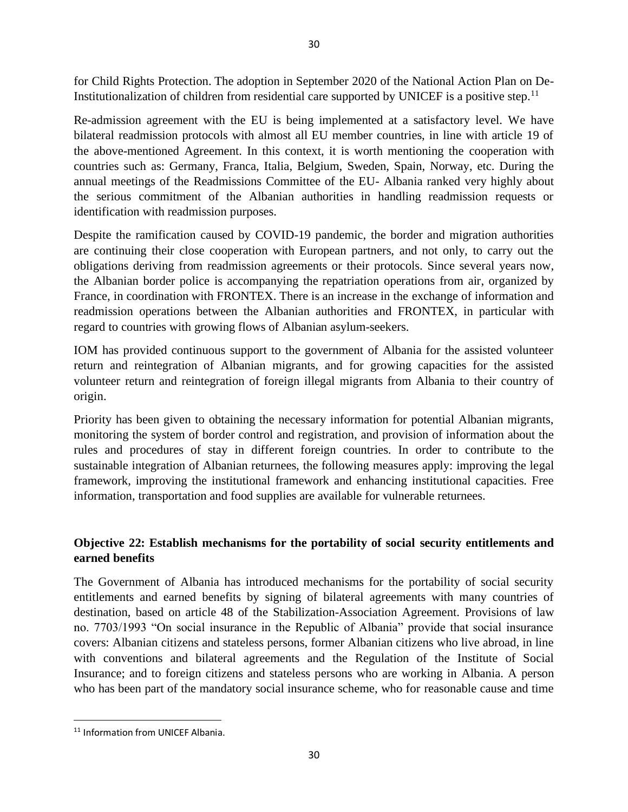for Child Rights Protection. The adoption in September 2020 of the National Action Plan on De-Institutionalization of children from residential care supported by UNICEF is a positive step.<sup>11</sup>

Re-admission agreement with the EU is being implemented at a satisfactory level. We have bilateral readmission protocols with almost all EU member countries, in line with article 19 of the above-mentioned Agreement. In this context, it is worth mentioning the cooperation with countries such as: Germany, Franca, Italia, Belgium, Sweden, Spain, Norway, etc. During the annual meetings of the Readmissions Committee of the EU- Albania ranked very highly about the serious commitment of the Albanian authorities in handling readmission requests or identification with readmission purposes.

Despite the ramification caused by COVID-19 pandemic, the border and migration authorities are continuing their close cooperation with European partners, and not only, to carry out the obligations deriving from readmission agreements or their protocols. Since several years now, the Albanian border police is accompanying the repatriation operations from air, organized by France, in coordination with FRONTEX. There is an increase in the exchange of information and readmission operations between the Albanian authorities and FRONTEX, in particular with regard to countries with growing flows of Albanian asylum-seekers.

IOM has provided continuous support to the government of Albania for the assisted volunteer return and reintegration of Albanian migrants, and for growing capacities for the assisted volunteer return and reintegration of foreign illegal migrants from Albania to their country of origin.

Priority has been given to obtaining the necessary information for potential Albanian migrants, monitoring the system of border control and registration, and provision of information about the rules and procedures of stay in different foreign countries. In order to contribute to the sustainable integration of Albanian returnees, the following measures apply: improving the legal framework, improving the institutional framework and enhancing institutional capacities. Free information, transportation and food supplies are available for vulnerable returnees.

# **Objective 22: Establish mechanisms for the portability of social security entitlements and earned benefits**

The Government of Albania has introduced mechanisms for the portability of social security entitlements and earned benefits by signing of bilateral agreements with many countries of destination, based on article 48 of the Stabilization-Association Agreement. Provisions of law no. 7703/1993 "On social insurance in the Republic of Albania" provide that social insurance covers: Albanian citizens and stateless persons, former Albanian citizens who live abroad, in line with conventions and bilateral agreements and the Regulation of the Institute of Social Insurance; and to foreign citizens and stateless persons who are working in Albania. A person who has been part of the mandatory social insurance scheme, who for reasonable cause and time

<sup>&</sup>lt;sup>11</sup> Information from UNICEF Albania.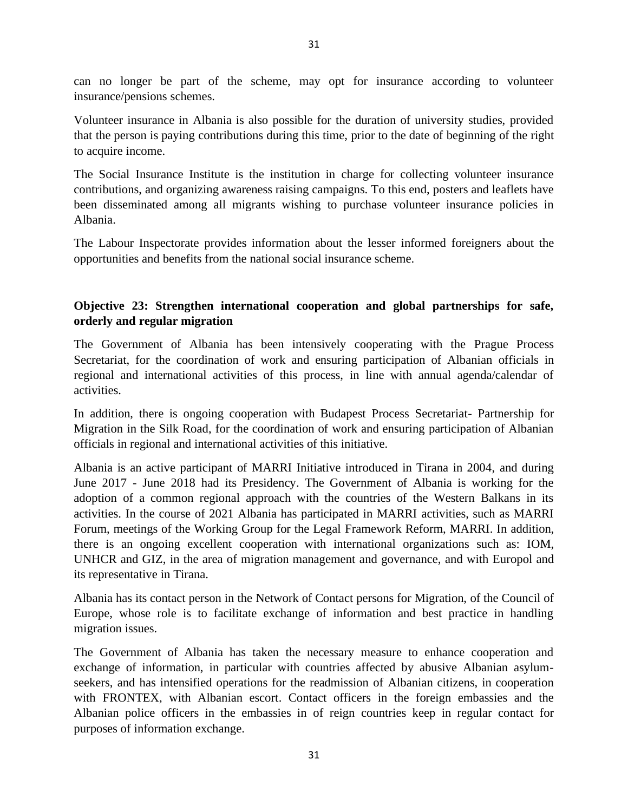can no longer be part of the scheme, may opt for insurance according to volunteer insurance/pensions schemes.

Volunteer insurance in Albania is also possible for the duration of university studies, provided that the person is paying contributions during this time, prior to the date of beginning of the right to acquire income.

The Social Insurance Institute is the institution in charge for collecting volunteer insurance contributions, and organizing awareness raising campaigns. To this end, posters and leaflets have been disseminated among all migrants wishing to purchase volunteer insurance policies in Albania.

The Labour Inspectorate provides information about the lesser informed foreigners about the opportunities and benefits from the national social insurance scheme.

## **Objective 23: Strengthen international cooperation and global partnerships for safe, orderly and regular migration**

The Government of Albania has been intensively cooperating with the Prague Process Secretariat, for the coordination of work and ensuring participation of Albanian officials in regional and international activities of this process, in line with annual agenda/calendar of activities.

In addition, there is ongoing cooperation with Budapest Process Secretariat- Partnership for Migration in the Silk Road, for the coordination of work and ensuring participation of Albanian officials in regional and international activities of this initiative.

Albania is an active participant of MARRI Initiative introduced in Tirana in 2004, and during June 2017 - June 2018 had its Presidency. The Government of Albania is working for the adoption of a common regional approach with the countries of the Western Balkans in its activities. In the course of 2021 Albania has participated in MARRI activities, such as MARRI Forum, meetings of the Working Group for the Legal Framework Reform, MARRI. In addition, there is an ongoing excellent cooperation with international organizations such as: IOM, UNHCR and GIZ, in the area of migration management and governance, and with Europol and its representative in Tirana.

Albania has its contact person in the Network of Contact persons for Migration, of the Council of Europe, whose role is to facilitate exchange of information and best practice in handling migration issues.

The Government of Albania has taken the necessary measure to enhance cooperation and exchange of information, in particular with countries affected by abusive Albanian asylumseekers, and has intensified operations for the readmission of Albanian citizens, in cooperation with FRONTEX, with Albanian escort. Contact officers in the foreign embassies and the Albanian police officers in the embassies in of reign countries keep in regular contact for purposes of information exchange.